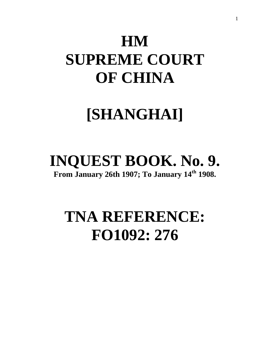# **HM SUPREME COURT OF CHINA**

# **[SHANGHAI]**

# **INQUEST BOOK. No. 9.**

**From January 26th 1907; To January 14th 1908.**

# **TNA REFERENCE: FO1092: 276**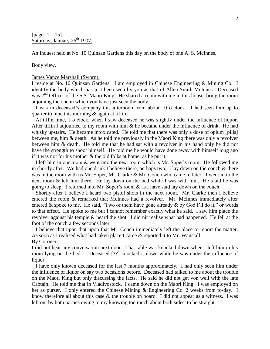[pages  $1 - 15$ ] Saturday, January 26<sup>th</sup> 1907.

An Inquest held at No. 10 Quinsan Gardens this day on the body of one A. S. McInnes.

Body view.

#### James Vance Marshall (Sworn).

I reside at No. 10 Quinsan Gardens. I am employed in Chinese Engineering & Mining Co. I identify the body which has just been seen by you as that of Allen Smith McInnes. Deceased was 2<sup>nd</sup> Officer of the S.S. Maori King. He shared a room with me in this house, bring the room adjoining the one in which you have just seen the body.

 I was in deceased's company this afternoon from about 10 o'clock. I had seen him up to quarter to nine this morning & again at tiffin.

 At tiffin time, 1 o'clock, when I saw deceased he was slightly under the influence of liquor. After tiffin I adjourned to my room with him & he became under the influence of drink. He had whisky upstairs. He became intoxicated. He told me that there was only a dose of opium [pills] between me, him & death. As he told me previously in the Maori King there was only a revolver between him & death. He told me that he had sat with a revolver in his hand only he did not have the strength to shoot himself. He told me he would have done away with himself long ago if it was not for his mother & the old folks at home, as he put it.

 I left him in our room & went into the next room which is Mr. Soper's room. He followed me in shortly after. We had one drink I believe there, perhaps two. I lay down on the couch & there was in the room with us Mr. Soper, Mr. Clarke & Mr. Couch who came in later. I went in to the next room & left him there. He lay down on the bed while I was with him. He s aid he was going to sleep. I returned into Mr. Soper's room & as I have said lay down on the couch.

 Shortly after I believe I heard two pistol shots in the next room. Mr. Clarke then I believe entered the room & remarked that McInnes had a revolver. Mr. McInnes immediately after entered & spoke to me. He said, "Two of them have gone already & by God I'll do it," or words to that effect. He spoke to me but I cannot remember exactly what he said. I saw him place the revolver against his temple & heard the shot. I did nit realise what had happened. He fell at the foot of the couch a few seconds later.

 I believe that upon that upon that Mr. Couch immediately left the place to report the matter. As soon as I realised what had taken place I came & reported it to Mr. Wanstall.

By Coroner.

I did not hear any conversation next door. That table was knocked down when I left him in his room lying on the bed. Deceased [??] knocked it down while he was under the influence of liquor.

 I have only known deceased for the last 7 months approximately. I had only seen him under the influence of liquor on say two occasions before. Deceased had talked to me about the trouble on the Maori King but only discussing the facts. He said he did not get von well with the late Captain. He told me that in Vladivostock. I came down on the Maori King. I was employed on her as purser. I only entered the Chinese Mining & Engineering Co. 2 weeks from to-day. I know therefore all about this case  $\&$  the trouble on board. I did not appear as a witness. I was left out by both parties owing to my knowing too much about both sides, to be straight.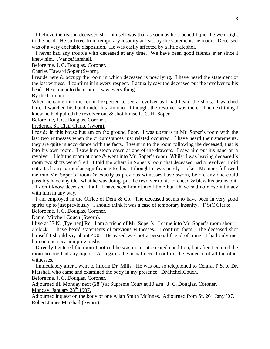I believe the reason deceased shot himself was that as soon as he touched liquor he went light in the head. He suffered from temporary insanity at least by the statements he made. Deceased was of a very excitable disposition. He was easily affected by a little alcohol.

 I never had any trouble with deceased at any time. We have been good friends ever since I knew him. JVanceMarshall.

Before me, J. C. Douglas, Coroner.

Charles Haward Soper (Sworn).

I reside here & occupy the room in which deceased is now lying. I have heard the statement of the last witness. I confirm it in every respect. I actually saw the deceased put the revolver to his head. He came into the room. I saw every thing.

By the Coroner.

When he came into the room I expected to see a revolver as I had heard the shots. I watched him. I watched his hand under his kimono. I thought the revolver was there. The next thing I knew he had pulled the revolver out & shot himself. C. H. Soper.

Before me, J. C. Douglas, Coroner.

Frederick St. Clair Clarke (sworn).

I reside in this house but am on the ground floor. I was upstairs in Mr. Soper's room with the last two witnesses when the circumstances just related occurred. I have heard their statements, they are quite in accordance with the facts. I went in to the room following the deceased, that is into his own room. I saw him stoop down at one of the drawers. I saw him put his hand on a revolver. I left the room at once & went into Mr. Soper's room. Whilst I was leaving deceased's room two shots were fired. I told the others in Soper's room that deceased had a revolver. I did not attach any particular significance to this. I thought it was purely a joke. McInnes followed me into Mr. Soper's room & exactly as previous witnesses have sworn, before any one could possibly have any idea what he was doing, put the revolver to his forehead & blew his brains out.

 I don't know deceased at all. I have seen him at meal time but I have had no close intimacy with him in any way.

 I am employed in the Office of Dent & Co. The deceased seems to have been in very good spirits up to just previously. I should think it was a case of temporary insanity. F StC Clarke. Before me, J. C. Douglas, Coroner.

Daniel Mitchell Couch (Sworn).

I live at 27 N. [Tyeluen] Rd. I am a friend of Mr. Soper's. I came into Mr. Soper's room about 4 o'clock. I have heard statements of previous witnesses. I confirm them. The deceased shot himself I should say about 4.30. Deceased was not a personal friend of mine. I had only met him on one occasion previously.

 Directly I entered the room I noticed he was in an intoxicated condition, but after I entered the room no one had any liquor. As regards the actual deed I confirm the evidence of all the other witnesses.

 Immediately after I went to inform Dr. Mills. He was out so telephoned to Central P.S. to Dr. Marshall who came and examined the body in my presence. DMitchellCouch.

Before me, J. C. Douglas, Coroner.

Adjourned till Monday next  $(28<sup>th</sup>)$  at Supreme Court at 10 a.m. J. C. Douglas, Coroner. Monday, January  $28<sup>th</sup>$  1907.

Adjourned inquest on the body of one Allan Smith McInnes. Adjourned from St.  $26<sup>th</sup>$  Jany '07. Robert James Marshall (Sworn).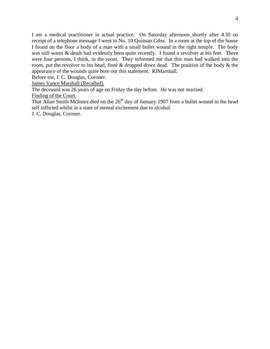I am a medical practitioner in actual practice. On Saturday afternoon shortly after 4.30 on receipt of a telephone message I went to No. 10 Quinsan Gdns. In a room at the top of the house I found on the floor a body of a man with a small bullet wound in the right temple. The body was still warm & death had evidently been quite recently. I found a revolver at his feet. There were four persons, I think, in the room. They informed me that this man had walked into the room, put the revolver to his head, fired  $\&$  dropped down dead. The position of the body  $\&$  the appearance of the wounds quite bore out this statement. RJMarshall.

Before me, J. C. Douglas, Coroner.

James Vance Marshall (Recalled).

The deceased was 26 years of age on Friday the day before. He was not married.

Finding of the Court.

That Allan Smith McInnes died on the  $26<sup>th</sup>$  day of January 1907 from a bullet wound in the head self inflicted whilst in a state of mental excitement due to alcohol.

J. C. Douglas, Coroner.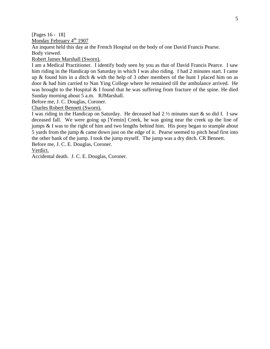[Pages 16 - 18]

Monday February  $4<sup>th</sup>$  1907

An inquest held this day at the French Hospital on the body of one David Francis Pearse. Body viewed.

Robert James Marshall (Sworn).

I am a Medical Practitioner. I identify body seen by you as that of David Francis Pearce. I saw him riding in the Handicap on Saturday in which I was also riding. I had 2 minutes start. I came up  $\&$  found him in a ditch  $\&$  with the help of 3 other members of the hunt I placed him on as door & had him carried to Nan Ying College where he remained till the ambulance arrived. He was brought to the Hospital & I found that he was suffering from fracture of the spine. He died Sunday morning about 5 a.m. RJMarshall.

Before me, J. C. Douglas, Coroner.

Charles Robert Bennett (Sworn).

I was riding in the Handicap on Saturday. He deceased had  $2\frac{1}{2}$  minutes start & so did I. I saw deceased fall. We were going up [Yemin] Creek, he was going near the creek up the line of jumps & I was to the right of him and two lengths behind him. His pony began to stumple about 5 yards from the jump & came down just on the edge of it. Pearse seemed to pitch head first into the other bank of the jump. I took the jump myself. The jump was a dry ditch. CR Bennett. Before me, J. C. E. Douglas, Coroner.

Verdict.

Accidental death. J. C. E. Douglas, Coroner.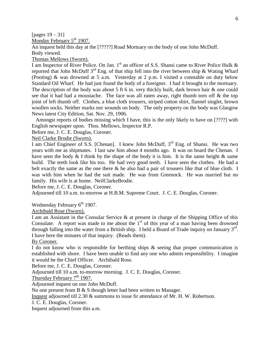[pages 19 – 31]

Monday February 5<sup>th</sup> 1907.

An inquest held this day at the [?????] Road Mortuary on the body of one John McDuff. Body viewed.

Thomas Mellows (Sworn).

I am Inspector of River Police. On Jan. 1<sup>st</sup> an officer of S.S. Shansi came to River Police Hulk & reported that John McDuff  $3^{rd}$  Eng. of that ship fell into the river between ship & Wating Wharf (Pooting) & was drowned at 5 a.m. Yesterday at 2 p.m. I visited a constable on duty below Standard Oil Wharf. He had just found the body of a foreigner. I had it brought to the mortuary. The description of the body was about 5 ft 6 in. very thickly built, dark brown hair & one could see that it had had a moustache. The face was all eaten away, right thumb torn off & the top joint of left thumb off. Clothes, a blue cloth trousers, striped cotton shirt, flannel singlet, brown woollen socks. Neither marks nor wounds on body. The only property on the body was Glasgow News latest City Edition, Sat. Nov. 29, 1906.

 Amongst reports of bodies missing which I have, this is the only likely to have on [????] with English newspaper upon. Thos. Mellows, Inspector R.P.

Before me, J. C. E. Douglas, Coroner.

Neil Clarke Brodie (Sworn).

I am Chief Engineer of S.S. [Chenan]. I knew John McDuff, 3<sup>rd</sup> Eng. of Shansi. He was two years with me as shipmates. I last saw him about 4 months ago. It was on board the Chenan. I have seen the body  $&$  I think by the shape of the body it is him. It is the same height  $&$  same build. The teeth look like his too. He had very good teeth. I have seen the clothes. He had a belt exactly the same as the one there  $\&$  he also had a pair of trousers like that of blue cloth. I was with him when he had the suit made. He was from Greenock. He was married but no family. His wife is at home. NeilClarkeBrodie.

Before me, J. C. E. Douglas, Coroner.

Adjourned till 10 a.m. to-morrow at H.B.M. Supreme Court. J. C. E. Douglas, Coroner.

Wednesday February  $6<sup>th</sup>$  1907.

Archibald Rose (Sworn).

I am an Assistant in the Consular Service & at present in charge of the Shipping Office of this Consulate. A report was made to me about the  $1<sup>st</sup>$  of this year of a man having been drowned through falling into the water from a British ship. I held a Board of Trade inquiry on January  $3^{rd}$ . I have here the minutes of that inquiry. (Reads them).

By Coroner.

I do not know who is responsible for berthing ships & seeing that proper communication is established with shore. I have been unable to find any one who admits responsibility. I imagine it would be the Chief Officer. Archibald Rose.

Before me, J. C. E. Douglas, Coroner.

Adjourned till 10 a.m. to-morrow morning. J. C. E. Douglas, Coroner.

Thursday February  $7<sup>th</sup>$  1907.

Adjourned inquest on one John McDuff.

No one present from B & S though letter had been written to Manager.

Inquest adjourned till 2.30 & summons to issue fir attendance of Mr. H. W. Robertson.

J. C. E. Douglas, Coroner.

Inquest adjourned from this a.m.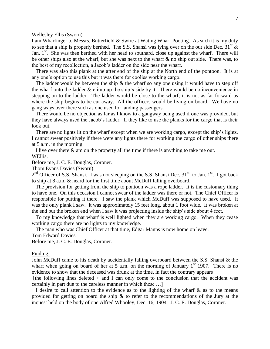Wellesley Ellis (Sworn).

I am Wharfinger to Messrs. Butterfield & Swire at Wating Wharf Pooting. As such it is my duty to see that a ship is properly berthed. The S.S. Shansi was lying over on the out side Dec.  $31<sup>st</sup>$  & Jan.  $1<sup>st</sup>$ . She was then berthed with her head to southard, close up against the wharf. There will be other ships also at the wharf, but she was next to the wharf & no ship out side. There was, to the best of my recollection, a Jacob's ladder on the side near the wharf.

 There was also this plank at the after end of the ship at the North end of the pontoon. It is at any one's option to use this but it was there for coolies working cargo.

The ladder would be between the ship  $\&$  the wharf so any one using it would have to step off the wharf onto the ladder  $&$  climb up the ship's side by it. There would be no inconvenience in stepping on to the ladder. The ladder would be close to the wharf; it is not as far forward as where the ship begins to be cut away. All the officers would be living on board. We have no gang ways over there such as one used for landing passengers.

 There would be no objection as far as I know to a gangway being used if one was provided, but they have always used the Jacob's ladder. If they like to use the planks for the cargo that is their look out.

 There are no lights lit on the wharf except when we are working cargo, except the ship's lights. I cannot swear positively if there were any lights there for working the cargo of other ships there at 5 a.m. in the morning.

 I live over there & am on the property all the time if there is anything to take me out. WEllis.

Before me, J. C. E. Douglas, Coroner.

Thom Evans Davies (Sworn).

2<sup>nd</sup> Officer of S.S. Shansi. I was not sleeping on the S.S. Shansi Dec. 31<sup>st</sup>. to Jan. 1<sup>st</sup>. I got back to ship at 8 a.m. & heard for the first time about McDuff falling overboard.

 The provision for getting from the ship to pontoon was a rope ladder. It is the customary thing to have one. On this occasion I cannot swear of the ladder was there or not. The Chief Officer is responsible for putting it there. I saw the plank which McDuff was supposed to have used. It was the only plank I saw. It was approximately 15 feet long, about 1 foot wide. It was broken at the end but the broken end when I saw it was projecting inside the ship's side about 4 feet.

 To my knowledge that wharf is well lighted when they are working cargo. When they cease working cargo there are no lights to my knowledge.

The man who was Chief Officer at that time, Edgar Manns is now home on leave.

Tom Edward Davies.

Before me, J. C. E. Douglas, Coroner.

Finding.

John McDuff came to his death by accidentally falling overboard between the S.S. Shansi & the wharf when going on board of her at 5 a.m. on the morning of January  $1<sup>st</sup>$  1907. There is no evidence to show that the deceased was drunk at the time, in fact the contrary appears

[the following lines deleted  $+$  and I can only come to the conclusion that the accident was certainly in part due to the careless manner in which these …]

I desire to call attention to the evidence as to the lighting of the wharf  $\&$  as to the means provided for getting on board the ship  $\&$  to refer to the recommendations of the Jury at the inquest held on the body of one Alfred Whooley, Dec. 16, 1904. J. C. E. Douglas, Coroner.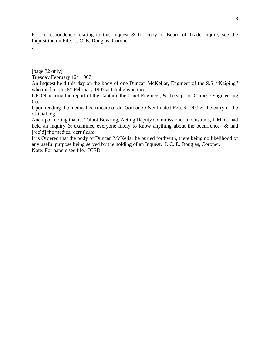For correspondence relating to this Inquest  $\&$  for copy of Board of Trade Inquiry see the Inquisition on File. J. C. E. Douglas, Coroner.

[page 32 only]

.

Tuesday February 12<sup>th</sup> 1907.

An Inquest held this day on the body of one Duncan McKellar, Engineer of the S.S. "Kaiping" who died on the  $8<sup>th</sup>$  February 1907 at Chubg won too.

UPON hearing the report of the Captain, the Chief Engineer, & the supt. of Chinese Engineering Co.

Upon reading the medical certificate of dr. Gordon O'Neill dated Feb. 9.1907 & the entry in the official log.

And upon noting that C. Talbot Bowring, Acting Deputy Commissioner of Customs, I. M. C. had held an inquiry & examined everyone likely to know anything about the occurrence & had [rec'd] the medical certificate

It is Ordered that the body of Duncan McKellar be buried forthwith, there being no likelihood of any useful purpose being served by the holding of an Inquest. J. C. E. Douglas, Coroner. Note: For papers see file. JCED.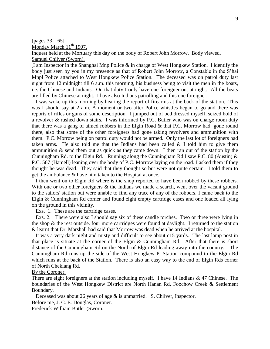[pages  $33 - 65$ ] Monday March 11<sup>th</sup> 1907.

Inquest held at the Mortuary this day on the body of Robert John Morrow. Body viewed. Samuel Chilver (Sworn).

I am Inspector in the Shanghai Mnp Police & in charge of West Hongkew Station. I identify the body just seen by you in my presence as that of Robert John Morrow, a Constable in the S'hai Mnpl Police attached to West Hongkew Police Station. The deceased was on patrol duty last night from 12 midnight till 6 a.m. this morning, his business being to visit the men in the boats, i.e. the Chinese and Indians. On that duty I only have one foreigner out at night. All the beats are filled by Chinese at night. I have also Indians patrolling and this one foreigner.

 I was woke up this morning by hearing the report of firearms at the back of the station. This was I should say at 2 a.m. A moment or two after Police whistles began to go and there was reports of rifles or guns of some description. I jumped out of bed dressed myself, seized hold of a revolver & rushed down stairs. I was informed by P.C. Butler who was on charge room duty that there was a gang of aimed robbers in the Elgin Road & that P.C. Morrow had gone round there, also that some of the other foreigners had gone taking revolvers and ammunition with them. P.C. Morrow being on patrol duty would not be armed. Only the last lot of foreigners had taken arms. He also told me that the Indians had been called  $&$  I told him to give them ammunition & send them out as quick as they came down. I then ran out of the station by the Cunningham Rd. to the Elgin Rd. Running along the Cunningham Rd I saw P.C. 80 (Austin)  $\&$ P.C. 567 (Hamell) leaning over the body of P.C. Morrow laying on the road. I asked them if they thought he was dead. They said that they thought so but were not quite certain. I told them to get the ambulance & have him taken to the Hospital at once.

 I then went on to Elgin Rd where is the shop reported to have been robbed by these robbers. With one or two other foreigners & the Indians we made a search, went over the vacant ground to the sailors' station but were unable to find any trace of any of the robbers. I came back to the Elgin & Cunningham Rd corner and found eight empty cartridge cases and one loaded all lying on the ground in this vicinity.

Exs. 1. These are the cartridge cases.

 Exs. 2. There were also I should say six of these candle torches. Two or three were lying in the shop & the rest outside. four more cartridges were found at daylight. I returned to the station & learnt that Dr. Marshall had said that Morrow was dead when he arrived at the hospital.

 It was a very dark night and misty and difficult to see about c15 yards. The last lamp post in that place is situate at the corner of the Elgin & Cunningham Rd. After that there is short distance of the Cunningham Rd on the North of Elgin Rd leading away into the country. The Cunningham Rd runs up the side of the West Hongkew P. Station compound to the Elgin Rd which runs at the back of the Station. There is also an easy way to the end of Elgin Rds corner of North Chekiang Rd.

#### By the Coroner.

There are eight foreigners at the station including myself. I have 14 Indians & 47 Chinese. The boundaries of the West Hongkew District are North Hanan Rd, Foochow Creek & Settlement Boundary.

 Deceased was about 26 years of age & is unmarried. S. Chilver, Inspector. Before me, J. C. E. Douglas, Coroner.

Frederick William Butler (Sworn.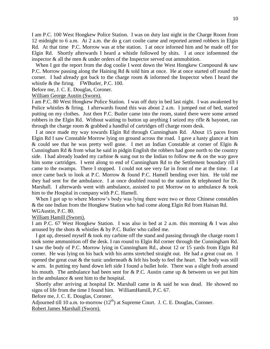I am P.C. 100 West Hongkew Police Station. I was on duty last night in the Charge Room from 12 midnight to 6 a.m. At 2 a.m. the do g cart coolie came and reported armed robbers in Elgin Rd. At that time P.C. Morrow was at trhe station. I at once inforned him and he made off for Elgin Rd. Shortly afterwards I heard a whistle followed by shits. I at once infoemned the inspector & all the men & under orders of the Inspector served out ammubition.

When I got the report from the dog coolie I went down the West Hongkew Compound  $\&$  saw P.C. Morrow passing along the Haining Rd & told him at once. He at once started off round the corner. I had already got back to the charge room & informed the Inspector when I heard the whistle & the firing. FWButler, P.C. 100.

Before me, J. C. E. Douglas, Coroner.

William George Austin (Sworn).

I am P.C. 80 West Hongkew Police Station. I was off duty in bed last night. I was awakened by Police whistles & firing. I afterwards found this was about 2 a.m. I jumped out of bed, started putting on my clothes. Just then P.C. Butler came into the room, stated there were some armed robbers in the Elgin Rd. Without waiting to button up anything I seized my rifle & bayonet, ran through the charge room & grabbed a handful of cartridges off charge room desk.

 I at once made my way towards Elgin Rd through Cunningham Rd. About 15 paces from Elgin Rd I saw Constable Morrow lying on ground across the road. I gave a hasty glance at him & could see that he was pretty well gone. I met an Indian Constable at corner of Elgin & Cunningham Rd & from what he said in pidgin English the robbers had gone north to the country side. I had already loaded my carbine  $\&$  sung out to the Indian to follow me  $\&$  on the way gave him some cartridges. I went along to end of Cunningham Rd to the Settlement boundary rill I came to the swamps. There I stopped. I could not see very far in front of me at the time. I at once came back to look at P.C. Morrow & found P.C. Hamell bending over him. He told me they had sent for the ambulance. I at once doubled round to the station & telephoned for Dr. Marshall. I afterwards went with ambulance, assisted to put Morrow on to ambulance & took him to the Hospital in company with P.C. Hamell.

When I got up to where Morrow's body was lying there were two or three Chinese constables & the one Indian from the Hongkew Station who had come along Elgin Rd from Hainan Rd. WGAustin, P.C. 80.

William Hamill (Sworn).

I am P.C. 67 West Hongkew Station. I was also in bed at 2 a.m. this morning & I was also aroused by the shots & whistles & by P.C. Butler who called me.

 I got up, dressed myself & took my carbine off the stand and passing through the charge room I took some ammunition off the desk. I ran round to Elgin Rd corner through the Cunningham Rd. I saw the body of P.C. Morrow lying in Cunningham Rd., about 12 or 15 yards from Elgin Rd corner. He was lying on his back with his arms stretched straight out. He had a great coat on. I opened the great coat  $\&$  the tunic underneath  $\&$  felt his body to feel the heart. The body was still w arm. In putting my hand down left side I found a bullet hole. There was a slight froth around his mouth. The ambulance had been sent for & P.C. Austin came up & between us we put him in the ambulance & sent him to the hospital.

 Shortly after arriving at hospital Dr. Marshall came in & said he was dead. He showed no signs of life from the time I found him. WilliamHamill, P.C. 67.

Before me, J. C. E. Douglas, Coroner.

Adjourned till 10 a.m. to-morrow  $(12<sup>th</sup>)$  at Supreme Court. J. C. E. Douglas, Coroner. Robert James Marshall (Sworn).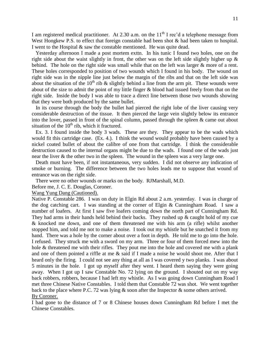I am registered medical practitioner. At 2.30 a.m. on the  $11<sup>th</sup>$  I rec'd a telephone message from West Hongkew P.S. to effect that foreign constable had been shot  $\&$  had been taken to hospital. I went to the Hospital & saw the constable mentioned. He was quite dead.

 Yesterday afternoon I made a post mortem exttn. In his tunic I found two holes, one on the right side about the waist slightly in front, the other was on the left side slightly higher up  $\&$ behind. The hole on the right side was small while that on the left was larger & more of a rent. These holes corresponded to position of two wounds which I found in his body. The wound on right side was in the nipple line just below the margin of the ribs and that on the left side was about the situation of the 10<sup>th</sup> rib & slightly behind a line from the arm pit. These wounds were about of the size to admit the point of my little finger & blood had issued freely from that on the right side. Inside the body I was able to trace a direct line between those two wounds showing that they were both produced by the same bullet.

 In its course through the body the bullet had pierced the right lobe of the liver causing very considerable destruction of the tissue. It then pierced the large vein slightly below its entrance into the lover, passed in front of the spinal column, passed through the spleen & came out about situation of the  $10<sup>th</sup>$  rib, which it fractured.

 Ex. 3. I found inside the body 3 wads. These are they. They appear to be the wads which would fit this cartridge case. (Ex. 4.). I think the wound would probably have been caused by a nickel coated bullet of about the calibre of one from that cartridge. I think the considerable destruction caused to the internal organs might be due to the wads. I found one of the wads just near the liver & the other two in the spleen. The wound in the spleen was a very large one.

 Death must have been, if not instantaneous, very sudden. I did not observe any indication of smoke or burning. The difference between the two holes leads me to suppose that wound of entrance was on the right side.

There were no other wounds or marks on the body. RJMarshall, M.D.

Before me, J. C. E. Douglas, Coroner.

Wang Yung Dang (Cautioned).

Native P. Constable 286. I was on duty in Elgin Rd about 2 a.m. yesterday. I was in charge of the dog catching cart. I was standing at the corner of Elgin & Cunningham Road. I saw a number of loafers. At first I saw five loafers coming down the north part of Cunningham Rd. They had arms in their hands held behind their backs. They rushed up  $\&$  caught hold of my cue & knocked me down, and one of them threatened me with his arm (a rifle) whilst another stopped him, and told me not to make a noise. I took out my whistle but he snatched it from my hand. There was a hole by the corner about over a foot in depth. He told me to go into the hole. I refused. They struck me with a sword on my arm. Three or four of them forced mew into the hole & threatened me with their rifles. They pout me into the hole and covered me with a plank and one of them pointed a riffle at me & said if I made a noise he would shoot me. After that I heard only the firing. I could not see any thing at all as I was covered y two planks. I was about 5 minutes in the hole. I got up myself after they went. I heard them saying they were going away. When I got up I saw Constable No. 72 lying on the ground. I shouted out on my way back robbers, robbers, because I had left my whistle. As I was going down Cunningham Road I met three Chinese Native Constables. I told them that Constable 72 was shot. We went together back to the place where P.C. 72 was lying  $\&$  soon after the Inspector  $\&$  some others arrived. By Coroner.

I had gone to the distance of 7 or 8 Chinese houses down Cunningham Rd before I met the Chinese Constables.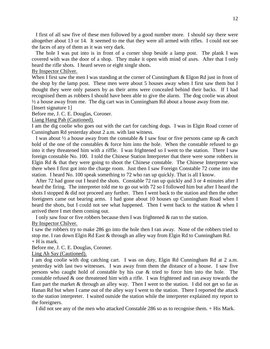I first of all saw five of these men followed by a good number more. I should say there were altogether about 13 or 14. It seemed to me that they were all armed with rifles. I could not see the faces of any of them as it was very dark.

 The hole I was put into is in front of a corner shop beside a lamp post. The plank I was covered with was the door of a shop. They make it open with mind of axes. After that I only heard the rifle shots. I heard seven or eight single shots.

#### By Inspector Chilver.

When I first saw the men I was standing at the corner of Cunningham & Elgon Rd just in front of the shop by the lamp post. These men were about 5 houses away when I first saw them but I thought they were only passers by as their arms were concealed behind their backs. If I had recognised them as robbers I should have been able to give the alarm. The dog coolie was about ½ a house away from me. The dig cart was in Cunningham Rd about a house away from me. [Insert signature 1]

Before me, J. C. E. Douglas, Coroner.

#### Liang Hang Pah (Cautioned).

I am the dig coolie who goes out with the cart for catching dogs. I was in Elgin Road corner of Cunningham Rd yesterday about 2 a.m. with last witness.

I was about  $\frac{1}{2}$  a house away from the constable & I saw four or five persons came up & catch hold of the one of the constables & force him into the hole. When the constable refused to go into it they threatened him with a riffle. I was frightened so I went to the station. There I saw foreign constable No. 100. I told the Chinese Station Interpreter that there were some robbers in Elgin Rd & that they were going to shoot the Chinese constable. The Chinese Interpreter was there when I first got into the charge room. Just then I saw Foreign Constable 72 come into the station. I heard No. 100 speak something to 72 who ran up quickly. That is all I know.

 After 72 had gone out I heard the shots. Constable 72 ran up quickly and 3 or 4 minutes after I heard the firing. The interpreter told me to go out with 72 so I followed him but after I heard the shots I stopped & did not proceed any further. Then I went back to the station and then the other foreigners came out bearing arms. I had gone about 10 houses up Cunningham Road when I heard the shots, but I could not see what happened. Then I went back to the station & when I arrived there I met them coming out.

I only saw four or five robbers because then I was frightened & ran to the station.

By Inspector Chilver.

I saw the robbers try to make 286 go into the hole then I ran away. None of the robbers tried to stop me. I ran down Elgin Rd East & through an alley way from Elgin Rd to Cunningham Rd.  $+$  H is mark.

Before me, J. C. E. Douglas, Coroner.

Ling Ah Say (Cautioned).

I am dog coolie with dog catching cart. I was on duty, Elgin Rd Cunningham Rd at 2 a.m. yesterday with last two witnesses. I was away from them the distance of a house. I saw five persons who caught hold of constable by his cue & tried to force him into the hole. The constable refused  $\&$  one threatened him with a rifle. I was frightened and ran away towards the East part the market & through an alley way. Then I went to the station. I did not get so far as Hanan Rd but when I came out of the alley way I went to the station. There I reported the attack to the station interpreter. I waited outside the station while the interpreter explained my report to the foreigners.

I did not see any of the men who attacked Constable 286 so as to recognise them. + His Mark.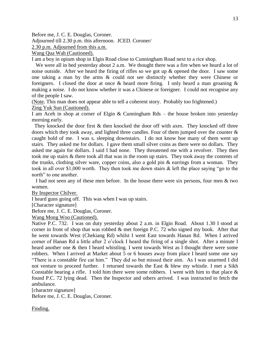Before me, J. C. E. Douglas, Coroner.

Adjourned till 2.30 p.m. this afternoon. JCED. Coroner/

2.30 p.m. Adjourned from this a.m.

Wang Qua Wah (Cautioned).

I am a boy in opium shop in Elgin Road close to Cunningham Road next to a rice shop.

 We were all in bed yesterday about 2 a.m. We thought there was a fire when we heard a lot of noise outside. After we heard the firing of rifles so we got up & opened the door. I saw some one taking a man by the arms & could not see distinctly whether they were Chinese or foreigners. I closed the door at once  $\&$  heard more firing. I only heard a man groaning  $\&$ making a noise. I do not know whether it was a Chinese or foreigner. I could not recognise any of the people I saw.

(Note. This man does not appear able to tell a coherent story. Probably too frightened.) Zing Yuk Sun (Cautioned).

I am Aceh in shop at corner of Elgin & Cunningham Rds – the house broken into yesterday morning early.

They knocked the door first  $\&$  then knocked the door off with axes. They knocked off three doors which they took away, and lighted three candles. Four of them jumped over the counter  $\&$ caught hold of me. I was s, sleeping downstairs. I do not know hoe many of them went up stairs. They asked me for dollars. I gave them small silver coins as there were no dollars. They asked me again for dollars. I said I had none. They threatened me with a revolver. They then took me up stairs & there took all that was in the room up stairs. They took away the contents of the trunks, clothing silver ware, copper coins, also a gold pin & earrings from a woman. They took in all over \$1,000 worth. They then took me down stairs & left the place saying "go to the north" to one another.

 I had not seen any of these men before. In the house there were six persons, four men & two women.

By Inspector Chilver.

I heard guns going off. This was when I was up stairs.

[Character signature]

Before me, J. C. E. Douglas, Coroner.

Wang Mong Woo (Cautioned).

Native P.C. 732. I was on duty yesterday about 2 a.m. in Elgin Road. About 1.30 I stood at corner in front of shop that was robbed & met foreign P.C. 72 who signed my book. After that he went towards West (Chekiang Rd) whilst I went East towards Hanan Rd. When I arrived corner of Hanan Rd a little after 2 o'clock I heard the firing of a single shot. After a minute I heard another one & then I heard whistling. I went towards West as I thought there were some robbers. When I arrived at Market about 5 or 6 houses away from place I heard some one say "There is a constable fire cat him." They did so but missed their aim. As I was unarmed I did not venture to proceed further. I returned towards the East  $\&$  blew my whistle. I met a Sikh Constable bearing a rifle. I told him there were some robbers. I went with him to that place  $\&$ found P.C. 72 lying dead. Then the Inspector and others arrived. I was instructed to fetch the ambulance.

[character signature]

Before me, J. C. E. Douglas, Coroner.

Finding.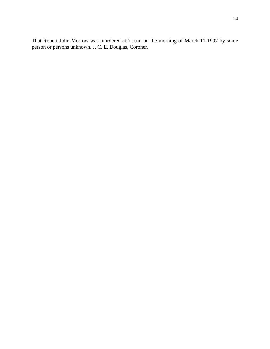That Robert John Morrow was murdered at 2 a.m. on the morning of March 11 1907 by some person or persons unknown. J. C. E. Douglas, Coroner.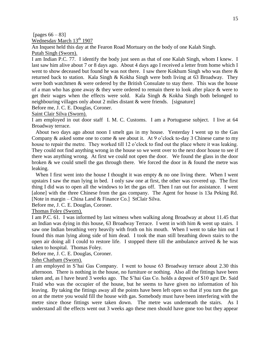[pages  $66 - 83$ ]

Wednesday March 13<sup>th</sup> 1907

An Inquest held this day at the Fearon Road Mortuary on the body of one Kalah Singh. Putah Singh (Sworn).

I am Indian P.C. 77. I identify the body just seen as that of one Kalah Singh, whom I knew. I last saw him alive about 7 or 8 days ago. About 4 days ago I received a letter from home which I went to show deceased but found he was not there. I saw there Kokhum Singh who was there & returned back to station. Kala Singh & Kokha Singh were both living at 63 Broadway. They were both watchmen & were ordered by the British Consulate to stay there. This was the house of a man who has gone away & they were ordered to remain there to look after place & were to get their wages when the effects were sold. Kala Singh & Kokha Singh both belonged to neighbouring villages only about 2 miles distant & were friends. [signature]

Before me, J. C. E. Douglas, Coroner.

Saint Clair Silva (Sworn).

I am employed in out door staff I. M. C. Customs. I am a Portuguese subject. I live at 64 Broadway terrace.

 About two days ago about noon I smelt gas in my house. Yesterday I went up to the Gas Company & asked some one to come & see about it. At 9 o'clock to-day 3 Chinese came to my house to repair the metre. They worked till 12 o'clock to find out the place where it was leaking. They could not find anything wrong in the house so we went over to the next door house to see if there was anything wrong. At first we could not open the door. We found the glass in the door broken & we could smell the gas through there. We forced the door in & found the metre was leaking.

When I first went into the house I thought it was empty  $\&$  no one living there. When I went upstairs I saw the man lying in bed. I only saw one at first, the other was covered up. The first thing I did was to open all the windows to let the gas off. Then I ran out for assistance. I went [alone] with the three Chinese from the gas company. The Agent for house is 13a Peking Rd. [Note in margin – China Land & Finance Co.] StClair Silva.

Before me, J. C. E. Douglas, Coroner.

Thomas Foley (Sworn).

I am P.C. 61. I was informed by last witness when walking along Broadway at about 11.45 that an Indian was dying in this house, 63 Broadway Terrace. I went in with him & went up stairs. I saw one Indian breathing very heavily with froth on his mouth. When I went to take him out I found this man lying along side of him dead. I took the man still breathing down stairs to the open air doing all I could to restore life. I stopped there till the ambulance arrived  $\&$  he was taken to hospital. Thomas Foley.

Before me, J. C. E. Douglas, Coroner.

John Chatham (Sworn).

I am employed in S'hai Gas Company. I went to house 63 Broadway terrace about 2.30 this afternoon. There is nothing in the house, no furniture or nothing. Also all the fittings have been taken and, as I have heard 3 weeks ago. The S'hai Gas Co. holds a deposit of \$10 agst Dr. Said Fraid who was the occupier of the house, but he seems to have given no information of his leaving. By taking the fittings away all the points have been left open so that if you turn the gas on at the metre you would fill the house with gas. Somebody must have been interfering with the metre since those fittings were taken down. The metre was underneath the stairs. As I understand all the effects went out 3 weeks ago these men should have gone too but they appear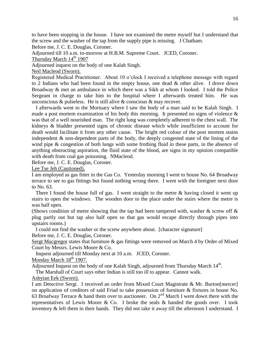to have been stopping in the house. I have not examined the metre myself but I understand that the screw and the washer of the tap from the supply pipe is missing. J Chatham.

Before me, J. C. E. Douglas, Coroner.

Adjourned till 10 a.m. to-morrow at H.B.M. Supreme Court. JCED, Coroner.

Thursday March  $14<sup>th</sup>$  1907

Adjourned inquest on the body of one Kalah Singh.

Neil Macleod (Sworn).

Registered Medical Practitioner. About 10 o'clock I received a telephone message with regard to 2 Indians who had been found in the empty house, one dead & other alive. I drove down Broadway & met an ambulance in which there was a Sikh at whom I looked. I told the Police Sergeant in charge to take him to the hospital where I afterwards treated him. He was unconscious  $\&$  pulseless. He is still alive  $\&$  conscious  $\&$  may recover.

 I afterwards went to the Mortuary where I saw the body of a man said to be Kalah Singh. I made a post mortem examination of his body this morning. It presented no signs of violence  $\&$ was that of a well nourished man. The right lung was completely adherent to the chest wall. The kidneys & bladder presented signs of chronic disease which while insufficient to account for death would facilitate it from any other cause. The bright red colour of the post mortem stains independent & non-dependent parts of the body, the deeply congested state of the lining of the wind pipe & congestion of both lungs with some frothing fluid in these parts, in the absence of anything obstructing aspiration, the fluid state of the blood, are signs in my opinion compatible with death from coal gas poisoning. NMacleod.

Before me, J. C. E. Douglas, Coroner.

Lee Tse Jeh (Cautioned).

I am employed as gas fitter in the Gas Co. Yesterday morning I went to house No. 64 Broadway terrace to see to gas fittings but found nothing wrong there. I went with the foreigner next door to No. 63.

There I found the house full of gas. I went straight to the metre  $\&$  having closed it went up stairs to open the windows. The wooden door to the place under the stairs where the metre is was half open.

(Shows condition of metre showing that the tap had been tampered with, washer  $\&$  screw off  $\&$ plug partly out but tap also half open so that gas would escape directly through pipes into upstairs rooms.)

I could not find the washer or the screw anywhere about. [character signature]

Before me, J. C. E. Douglas, Coroner.

Sergt Macgregor states that furniture & gas fittings were removed on March 4 by Order of Mixed Court by Messrs. Lewis Moore & Co.

Inquest adjourned till Monday next at 10 a.m. JCED, Coroner.

Monday March  $18<sup>th</sup>$  1907.

Adjourned Inquest on the body of one Kalah Singh, adjourned from Thursday March 14<sup>th</sup>.

The Marshall of Court says other Indian is still too ill to appear. Cannot walk.

Asbyian Eek (Sworn).

I am Detective Sergt. I received an order from Mixed Court Magistrate & Mr. Burton[mercer] on application of creditors of said Friad to take possession of furniture & fixtures in house No. 63 Broafway Terrace & hand them over to auctioneer. On  $2<sup>nd</sup>$  March I went down there with the representatives of Lewis Moore & Co. I broke the seals & handed the goods over. I took inventory & left them in their hands. They did not take it away till the afternoon I understand. I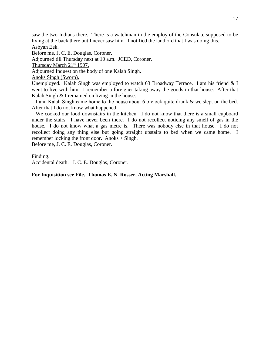saw the two Indians there. There is a watchman in the employ of the Consulate supposed to be living at the back there but I never saw him. I notified the landlord that I was doing this. Asbyan Eek.

Before me, J. C. E. Douglas, Coroner.

Adjourned till Thursday next at 10 a.m. JCED, Coroner.

Thursday March  $21<sup>st</sup> 1907$ .

Adjourned Inquest on the body of one Kalah Singh.

Anoks Singh (Sworn).

Unemployed. Kalah Singh was employed to watch 63 Broadway Terrace. I am his friend & I went to live with him. I remember a foreigner taking away the goods in that house. After that Kalah Singh & I remained on living in the house.

 I and Kalah Singh came home to the house about 6 o'clock quite drunk & we slept on the bed. After that I do not know what happened.

 We cooked our food downstairs in the kitchen. I do not know that there is a small cupboard under the stairs. I have never been there. I do not recollect noticing any smell of gas in the house. I do not know what a gas metre is. There was nobody else in that house. I do not recollect doing any thing else but going straight upstairs to bed when we came home. I remember locking the front door. Anoks + Singh.

Before me, J. C. E. Douglas, Coroner.

Finding.

Accidental death. J. C. E. Douglas, Coroner.

**For Inquisition see File. Thomas E. N. Rosser, Acting Marshall.**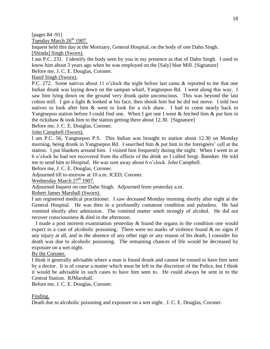[pages 84 -91]

Tuesday March  $26<sup>th</sup>$  1907.

Inquest held this day at the Mortuary, General Hospital, on the body of one Dahn Singh. [Shinda] Singh (Sworn).

I am P.C. 231. I identify the body seen by you in my presence as that of Dahn Singh. I used to know him about 3 years ago when he was employed on the [Saly] blue Mill. [Signature]

Before me, J. C. E. Douglas, Coroner.

Hanif Singh (Sworn).

P.C. 272. Some natives about 11 o'clock the night before last came & reported to me that one Indian drunk was laying down on the sampan wharf, Yangtsepoo Rd. I went along this way. I saw him lying down on the ground very drunk quite unconscious. This was beyond the last cotton mill. I got a light & looked at his face, then shook him but he did not move. I told two natives to look after him & went to look for a rick shaw. I had to come nearly back to Yangtsepoo station before I could find one. When I got one I went & fetched him & put him in the rickshaw & took him to the station getting there about 12.30. [Signature]

Before me, J. C. E. Douglas, Coroner.

John Campbell (Sworn).

I am P.C. 56, Yangtsepoo P.S. This Indian was brought to station about 12.30 on Monday morning, being drunk in Yangtsepoo Rd. I searched him & put him in the foreigners' cell at the station. I put blankets around him. I visited him frequently during the night. When I went in at 6 o'clock he had not recovered from the effects of the drink so I called Sergt. Bannker. He told me to send him to Hospital. He was sent away about 6 o'clock. John Campbell.

Before me, J. C. E. Douglas, Coroner.

Adjourned till to-morrow at 10 a.m. JCED, Coroner.

Wednesday March  $27<sup>th</sup>$  1907.

Adjourned Inquest on one Dahn Singh. Adjourned from yesterday a.m.

Robert James Marshall (Sworn).

I am registered medical practitioner. I saw deceased Monday morning shortly after eight at the General Hospital. He was then in a profoundly comatose condition and pulseless. He had vomited shortly after admission. The vomited matter smelt strongly of alcohol. He did not recover consciousness & died in the afternoon.

 I made a post mortem examination yesterday & found the organs in the condition one would expect in a case of alcoholic poisoning. There were no marks of violence found  $\&$  no signs if any injury at all, and in the absence of any other sign or any reason of his death, I consider his death was due to alcoholic poisoning. The remaining chances of life would be decreased by exposure on a wet night.

By the Coroner.

I think it generally advisable where a man is found drunk and cannot be roused to have him seen by a doctor. It is of course a matter which must be left to the discretion of the Police, but I think it would be advisable in such cases to have him seen to. He could always be sent in to the Central Station. RJMarshall.

Before me, J. C. E. Douglas, Coroner.

## Finding.

Death due to alcoholic poisoning and exposure on a wet night. J. C. E. Douglas, Coroner.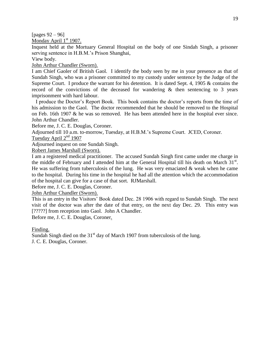[pages 92 – 96]

Monday April  $1<sup>st</sup>$  1907.

Inquest held at the Mortuary General Hospital on the body of one Sindah Singh, a prisoner serving sentence in H.B.M.'s Prison Shanghai,

View body.

John Arthur Chandler (Sworn).

I am Chief Gaoler of British Gaol. I identify the body seen by me in your presence as that of Sundah Singh, who was a prisoner committed to my custody under sentence by the Judge of the Supreme Court. I produce the warrant for his detention. It is dated Sept. 4, 1905 & contains the record of the convictions of the deceased for wandering  $\&$  then sentencing to 3 years imprisonment with hard labour.

 I produce the Doctor's Report Book. This book contains the doctor's reports from the time of his admission to the Gaol. The doctor recommended that he should be removed to the Hospital on Feb. 16th 1907 & he was so removed. He has been attended here in the hospital ever since. John Arthur Chandler.

Before me, J. C. E. Douglas, Coroner.

Adjourned till 10 a.m. to-morrow, Tuesday, at H.B.M.'s Supreme Court. JCED, Coroner.

Tuesday April  $2<sup>nd</sup>$  1907

Adjourned inquest on one Sundah Singh.

Robert James Marshall (Sworn).

I am a registered medical practitioner. The accused Sundah Singh first came under me charge in the middle of February and I attended him at the General Hospital till his death on March  $31<sup>st</sup>$ . He was suffering from tuberculosis of the lung. He was very emaciated  $\&$  weak when he came to the hospital. During his time in the hospital he had all the attention which the accommodation of the hospital can give for a case of that sort. RJMarshall.

Before me, J. C. E. Douglas, Coroner.

John Arthur Chandler (Sworn).

This is an entry in the Visitors' Book dated Dec. 28 1906 with regard to Sundah Singh. The next visit of the doctor was after the date of that entry, on the next day Dec. 29. This entry was [?????] from reception into Gaol. John A Chandler.

Before me, J. C. E. Douglas, Coroner.

Finding.

Sundah Singh died on the  $31<sup>st</sup>$  day of March 1907 from tuberculosis of the lung. J. C. E. Douglas, Coroner.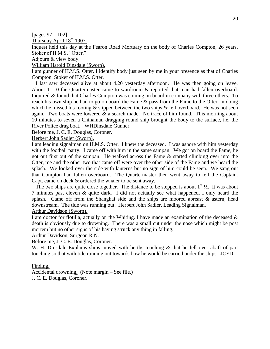[pages 97 – 102]

Thursday April  $18^{th}$  1907.

Inquest held this day at the Fearon Road Mortuary on the body of Charles Compton, 26 years, Stoker of H.M.S. "Otter."

Adjourn & view body.

William Harold Dinsdale (Sworn).

I am gunner of H.M.S. Otter. I identify body just seen by me in your presence as that of Charles Compton, Stoker of H.M.S. Otter.

 I last saw deceased alive at about 4.20 yesterday afternoon. He was then going on leave. About 11.10 the Quartermaster came to wardroom & reported that man had fallen overboard. Inquired & found that Charles Compton was coming on board in company with three others. To reach his own ship he had to go on board the Fame & pass from the Fame to the Otter, in doing which he missed his footing  $\&$  slipped between the two ships  $\&$  fell overboard. He was not seen again. Two boats were lowered  $\&$  a search made. No trace of him found. This morning about 10 minutes to seven a Chinaman dragging round ship brought the body to the surface, i.e. the River Police drag boat. WHDinsdale Gunner.

Before me, J. C. E. Douglas, Coroner.

Herbert John Sadler (Sworn).

I am leading signalman on H.M.S. Otter. I knew the deceased. I was ashore with him yesterday with the football party. I came off with him in the same sampan. We got on board the Fame, he got out first out of the sampan. He walked across the Fame & started climbing over into the Otter, me and the other two that came off were over the other side of the Fame and we heard the splash. We looked over the side with lanterns but no sign of him could be seen. We sang out that Compton had fallen overboard. The Quartermaster then went away to tell the Captain. Capt. came on deck & ordered the whaler to be sent away.

The two ships are quite close together. The distance to be stepped is about  $1<sup>st</sup>$  1/2. It was about 7 minutes past eleven & quite dark. I did not actually see what happened, I only heard the splash. Came off from the Shanghai side and the ships are moored abreast & astern, head downstream. The tide was running out. Herbert John Sadler, Leading Signalman.

Arthur Davidson (Sworn).

I am doctor for flotilla, actually on the Whiting. I have made an examination of the deceased  $\&$ death is obviously due to drowning. There was a small cut under the nose which might be post mortem but no other signs of his having struck any thing in falling.

Arthur Davidson, Surgeon R.N.

Before me, J. C. E. Douglas, Coroner.

W. H. Dinsdale Explains ships moved with berths touching & that he fell over abaft of part touching so that with tide running out towards bow he would be carried under the ships. JCED.

#### Finding.

Accidental drowning. (Note margin – See file.)

J. C. E. Douglas, Coroner.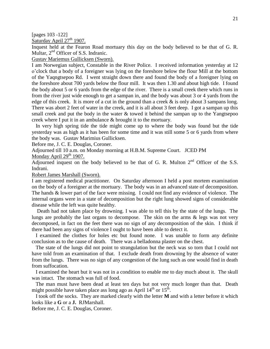[pages 103 -122]

Saturday April 27<sup>th</sup> 1907.

Inquest held at the Fearon Road mortuary this day on the body believed to be that of G. R. Multar,  $2<sup>nd</sup>$  Officer of S.S. Indranic.

Gustav Mariemus Gullicksen (Sworn).

I am Norwegian subject, Constable in the River Police. I received information yesterday at 12 o'clock that a body of a foreigner was lying on the foreshore below the flour Mill at the bottom of the Yaqngtsepoo Rd. I went straight down there and found the body of a foreigner lying on the foreshore about 700 yards below the flour mill. It was then 1.30 and about high tide. I found the body about 5 or 6 yards from the edge of the river. There is a small creek there which runs in from the river just wide enough to get a sampan in, and the body was about 3 or 4 yards from the edge of this creek. It is more of a cut in the ground than a creek  $\&$  is only about 3 sampans long. There was abort 2 feet of water in the creek, and it is all about 3 feet deep. I got a sampan up this small creek and put the body in the water  $\&$  towed it behind the sampan up to the Yangtsepoo creek where I put it in an ambulance & brought it to the mortuary.

 In very high spring tide the tide might come up to where the body was found but the tide yesterday was as high as it has been for some time and it was still some 5 or 6 yards from where the body was. Gustav Marimius Gullicksen.

Before me, J. C. E. Douglas, Coroner.

Adjourned till 10 a.m. on Monday morning at H.B.M. Supreme Court. JCED PM

Monday April  $29<sup>th</sup> 1907$ .

Adjourned inquest on the body believed to be that of G. R. Multon  $2<sup>nd</sup>$  Officer of the S.S. Indrani.

Robert James Marshall (Sworn).

I am registered medical practitioner. On Saturday afternoon I held a post mortem examination on the body of a foreigner at the mortuary. The body was in an advanced state of decomposition. The hands & lower part of the face were missing. I could not find any evidence of violence. The internal organs were in a state of decomposition but the right lung showed signs of considerable disease while the left was quite healthy.

 Death had not taken place by drowning. I was able to tell this by the state of the lungs. The lungs are probably the last organs to decompose. The skin on the arms & legs was not very decomposed, in fact on the feet there was no sign of any decomposition of the skin. I think if there had been any signs of violence I ought to have been able to detect it.

 I examined the clothes for holes etc but found none. I was unable to form any definite conclusion as to the cause of death. There was a belladonna plaster on the chest.

 The state of the lungs did not point to strangulation but the neck was so torn that I could not have told from an examination of that. I exclude death from drowning by the absence of water from the lungs. There was no sign of any congestion of the lung such as one would find in death from suffocation.

 I examined the heart but it was not in a condition to enable me to day much about it. The skull was intact. The stomach was full of food.

 The man must have been dead at least ten days but not very much longer than that. Death might possible have taken place ass long ago as April  $14<sup>th</sup>$  or  $15<sup>th</sup>$ .

 I took off the socks. They are marked clearly with the letter **M** and with a letter before it which looks like a **G** or a **J.** RJMarshall.

Before me, J. C. E. Douglas, Coroner.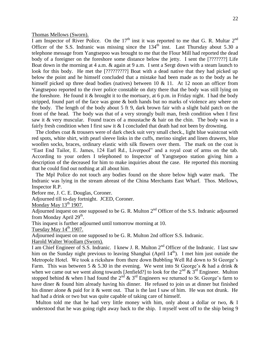Thomas Mellows (Sworn).

I am Inspector of River Police. On the  $17<sup>th</sup>$  inst it was reported to me that G. R. Multar  $2<sup>nd</sup>$ Officer of the S.S. Indranic was missing since the  $134<sup>th</sup>$  inst. Last Thursday about 5.30 a telephone message from Yangtsepoo was brought to me that the Flour Mill had reported the dead body of a foreigner on the foreshore some distance below the jetty. I sent the [???????] Life Boat down in the morning at 4 a.m. & again at 9 a.m. I sent a Sergt down with a steam launch to look for this body. He met the [?????????] Boat with a dead native that they had picked up below the point and he himself concluded that a mistake had been made as to the body as he himself picked up three dead bodies (natives) between 10 & 11. At 12 noon an officer from Yangtsepoo reported to the river police constable on duty there that the body was still lying on the foreshore. He found it & brought it to the mortuary, at 6 p.m. in Friday night. I had the body stripped, found part of the face was gone & both hands but no marks of violence any where on the body. The length of the body about 5 ft 9, dark brown fair with a slight bald patch on the front of the head. The body was that of a very strongly built man, fresh condition when I first saw it & very muscular. Found traces of a moustache & hair on the chin. The body was in a fairly fresh condition when I first saw it & I concluded that death had not been by drowning.

 The clothes coat & trousers were of dark check suit very small check., light blue waistcoat with red spots, white shirt, with pearl sleeve links in the cuffs, merino singlet and linen drawers, blue woollen socks, braces, ordinary elastic with silk flowers over them. The mark on the coat is "East End Tailor, E. James, 124 Earl Rd., Liverpool" and a royal coat of arms on the tab. According to your orders I telephoned to Inspector of Yangtsepoo station giving him a description of the deceased for him to make inquiries about the case. He reported this morning that he could find out nothing at all about him.

 The Mpl Police do not touch any bodies found on the shore below high water mark. The Indranic was lying in the stream abreast of the China Merchants East Wharf. Thos. Mellows, Inspector R.P.

Before me, J. C. E. Douglas, Coroner.

Adjourned till to-day fortnight. JCED, Coroner.

Monday May  $13<sup>th</sup> 1907$ .

Adjourned inquest on one supposed to be G. R. Multon  $2<sup>nd</sup>$  Officer of the S.S. Indranic adjourned from Monday April 29<sup>th</sup>.

This inquest is further adjourned until tomorrow morning at 10.

Tuesday May  $14<sup>th</sup>$  1907.

Adjourned inquest on one supposed to be G. R. Multon 2nd officer S.S. Indranic.

Harold Walter Woollam (Sworn).

I am Chief Engineer of S.S. Indranic. I knew J. R. Multon  $2<sup>nd</sup>$  Officer of the Indranic. I last saw him on the Sunday night previous to leaving Shanghai (April  $14<sup>th</sup>$ ). I met him just outside the Metropole Hotel. We took a rickshaw from there down Bubbling Well Rd down to St George's Farm. This was between 5 & 5.30 in the evening. We went into St George's & had a drink  $\&$ when we came out we went along towards [Jenfield?] to look for the  $2<sup>nd</sup> \& 3<sup>rd</sup>$  Engineer. Multon stopped behind & when I had found the  $2^{nd}$  &  $3^{rd}$  Engineers we returned to St. George's farm to have diner & found him already having his dinner. He refused to join us at dinner but finished his dinner alone & paid for it & went out. That is the last I saw of him. He was not drunk. He had had a drink or two but was quite capable of taking care of himself.

 Multon told me that he had very little money with him, only about a dollar or two, & I understood that he was going right away back to the ship. I myself went off to the ship being 9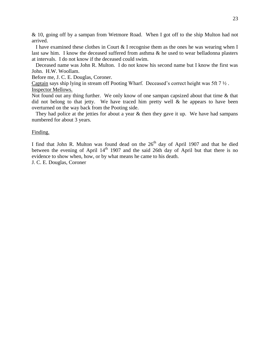& 10, going off by a sampan from Wetmore Road. When I got off to the ship Multon had not arrived.

 I have examined these clothes in Court & I recognise them as the ones he was wearing when I last saw him. I know the deceased suffered from asthma & he used to wear belladonna plasters at intervals. I do not know if the deceased could swim.

 Deceased name was John R. Multon. I do not know his second name but I know the first was John. H.W. Woollam.

Before me, J. C. E. Douglas, Coroner.

Captain says ship lying in stream off Pooting Wharf. Deceased's correct height was 5ft 7 ½ . Inspector Mellows.

Not found out any thing further. We only know of one sampan capsized about that time & that did not belong to that jetty. We have traced him pretty well  $\&$  he appears to have been overturned on the way back from the Pooting side.

They had police at the jetties for about a year & then they gave it up. We have had sampans numbered for about 3 years.

#### Finding.

I find that John R. Multon was found dead on the  $26<sup>th</sup>$  day of April 1907 and that he died between the evening of April  $14<sup>th</sup>$  1907 and the said 26th day of April but that there is no evidence to show when, how, or by what means he came to his death.

J. C. E. Douglas, Coroner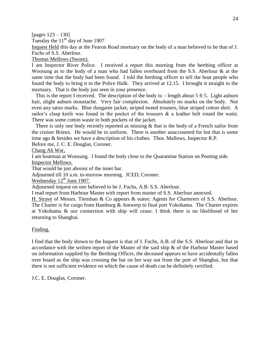[pages 123 – 130]

Tuesday the  $11<sup>th</sup>$  day of June 1907

Inquest Held this day at the Fearon Road mortuary on the body of a man believed to be that of J. Fuchs of S.S. Aberlour.

Thomas Mellows (Sworn).

I am Inspector River Police. I received a report this morning from the berthing officer at Woosung as to the body of a man who had fallen overboard from the S.S. Aberlour & at the same time that the body had been found. I told the berthing officer to tell the boat people who found the body to bring it to the Police Hulk. They arrived at 12.15. I brought it straight to the mortuary. That is the body just seen in your presence.

 This is the report I received. The description of the body is: - length about 5 ft 5. Light auburn hair, alight auburn moustache. Very fair complexion. Absolutely no marks on the body. Not even any tatoo marks. Blue dungaree jacket, striped tweed trousers, blue striped cotton shirt. A sailor's clasp knife was found in the pocket of the trousers & a leather belt round the waist. There was some cotton waste in both pockets of the jacket.

There is only one body recently reported as missing  $\&$  that is the body of a French sailor from the cruiser Brieux. He would be in uniform. There is another unaccounted for but that is some time ago & besides we have a description of his clothes. Thos. Mallows, Inspector R.P.

Before me, J. C. E. Douglas, Coroner.

Chang Ah War,

I am boatman at Woosung. I found the body close to the Quarantine Station on Pooting side. Inspector Mellows.

That would be just abreast of the inner bar.

Adjourned till 10 a.m. to-morrow morning. JCED, Coroner.

Wednesday  $12<sup>th</sup>$  June 1907.

Adjourned inquest on one believed to be J. Fuchs, A.B. S.S. Aberlour.

I read report from Harbour Master with report from master of S.S. Aberlour annexed.

H. Strave of Messrs. Tienshan & Co appears & states: Agents for Charterers of S.S. Aberlour. The Charter is for cargo from Hamburg & Antwerp to final port Yokohama. The Charter expires at Yokohama & our connection with ship will cease. I think there is no likelihood of her returning to Shanghai.

## Finding.

I find that the body shown to the Inquest is that of J. Fuchs, A.B. of the S.S. Aberlour and that in accordance with the written report of the Master of the said ship & of the Harbour Master based on information supplied by the Berthing Officer, the deceased appears to have accidentally fallen over board as the ship was crossing the bar on her way out from the port of Shanghai, but that there is not sufficient evidence on which the cause of death can be definitely certified.

J.C. E. Douglas, Coroner.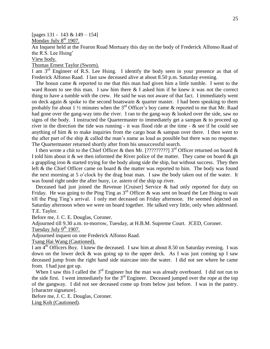[pages 131 - 143 & 149 – 154]

Monday July  $8<sup>th</sup>$  1907.

An Inquest held at the Fearon Road Mortuary this day on the body of Frederick Alfonso Raad of the R.S. Lee Hsing'

View body.

Thomas Ernest Taylor (Sworn).

I am  $3<sup>rd</sup>$  Engineer of R.S. Lee Hsing. I identify the body seen in your presence as that of Frederick Alfonso Raad. I last saw deceased alive at about 8.50 p.m. Saturday evening.

 The bosun came & reported to me that this man had given him a little tumble. I went to the ward Room to see this man. I saw him there & I asked him if he knew it was not the correct thing to have a tumble with the crew. He said he was not aware of that fact. I immediately went on deck again & spoke to the second boatswain & quarter master. I had been speaking to them probably for about 1  $\frac{1}{2}$  minutes when the 3<sup>rd</sup> Officer's boy came & reported to me that Mr. Raad had gone over the gang-way into the river. I ran to the gang-way & looked over the side, saw no signs of the body. I instructed the Quartermaster to immediately get a sampan  $\&$  to proceed up river in the direction the tide was running - it was flood ride at the time - & see if he could see anything of him & to make inquiries from the cargo boat  $\&$  sampan over there. I then went to the after part of the ship & called the man's name as loud as possible but there was no response. The Quartermaster returned shortly after from his unsuccessful search.

I then wrote a chit to the Chief Officer & then Mr. [?????????] 3<sup>rd</sup> Officer returned on board & I told him about it  $\&$  we then informed the River police of the matter. They came on board  $\&$  git a grappling iron & started trying for the body along side the ship, but without success. They then left & the Chief Officer came on board & the matter was reported to him. The body was found the next morning at 5 o'clock by the drag boat man. I saw the body taken out of the water. It was found right under the after buoy, i.e. astern of the ship up river.

 Deceased had just joined the Revenue [Cruiser] Service & had only reported for duty on Friday. He was going to the Ping Ting as  $3<sup>rd</sup>$  Officer & was sent on board the Lee Hsing to wait till the Ping Ting's arrival. I only met deceased on Friday afternoon. He seemed dejected on Saturday afternoon when we were on board together. He talked very little, only when addressed. T.E. Taylor.

Before me, J. C. E. Douglas, Coroner.

Adjourned till 9.30 a.m. to-morrow, Tuesday, at H.B.M. Supreme Court. JCED, Coroner.

Tuesday July  $9^{th}$  1907.

Adjourned inquest on one Frederick Alfonso Raad.

Tsang Hai Wang (Cautioned).

I am  $4<sup>th</sup>$  Officers Boy. I knew the deceased. I saw him at about 8.50 on Saturday evening. I was down on the lower deck & was going up to the upper deck. As I was just coming up I saw deceased jump from the right hand side staircase into the water. I did not see where he came from. I had just got up.

When I saw this I called the 3<sup>rd</sup> Engineer but the man was already overboard. I did not run to the side first. I went immediately for the  $3<sup>rd</sup>$  Engineer. Deceased jumped over the rope at the top of the gangway. I did not see deceased come up from below just before. I was in the pantry. [character signature].

Before me, J. C. E. Douglas, Coroner. Ling Koh (Cautioned).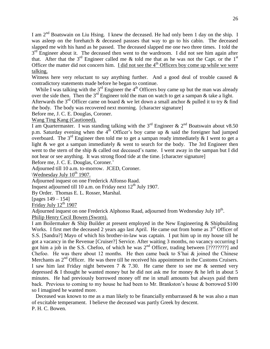I am  $2^{nd}$  Boatswain on Liu Hsing. I knew the deceased. He had only been 1 day on the ship. I was asleep on the forehatch & deceased passses that way to go to his cabin. The deceased slapped me with his hand as he passed. The deceased slapped me one two three times. I told the  $3<sup>rd</sup>$  Engineer about it. The deceased then went to the wardroom. I did not see him again after that. After that the  $3<sup>rd</sup>$  Engineer called me & told me that as he was not the Capt. or the  $1<sup>st</sup>$ Officer the matter did not concern him. I did not see the  $4<sup>th</sup>$  Officers boy come up while we were talking.

Witness here very reluctant to say anything further. And a good deal of trouble caused  $\&$ contradictory statements made before he began to continue.

While I was talking with the  $3<sup>rd</sup>$  Engineer the 4<sup>th</sup> Officers boy came up but the man was already over the side then. Then the  $3^{rd}$  Engineer told the man on watch to get a sampan & take a light.

Afterwards the 3<sup>rd</sup> Officer came on board & we let down a small anchor & pulled it to try & find the body. The body was recovered next morning. [character signature]

Before me, J. C. E. Douglas, Coroner.

Wang Ting Kang (Cautioned).

I am Quartermaster. I was standing talking with the  $3<sup>rd</sup>$  Engineer &  $2<sup>nd</sup>$  Boatswain about v8.50 p.m. Saturday evening when the  $4<sup>th</sup>$  Officer's boy came up & said the foreigner had jumped overboard. The 3<sup>rd</sup> Engineer then told me to get a sampan ready immediately & I went to get a light & we got a sampan immediately & went to search for the body. The 3rd Engineer then went to the stern of the ship & called out deceased's name. I went away in the sampan but I did not hear or see anything. It was strong flood tide at the time. [character signature]

Before me, J. C. E. Douglas, Coroner.'

Adjourned till 10 a.m. to-morrow. JCED, Coroner.

 $\W$ ednesday July 10<sup>th</sup> 1907.

Adjourned inquest on one Frederick Alfonso Raad.

Inquest adjourned till 10 a.m. on Friday next  $12<sup>th</sup>$  July 1907.

By Order. Thomas E. L. Rosser, Marshal.

[pages 149 – 154]

Friday July  $12<sup>th</sup> 1907$ 

Adjourned inquest on one Frederick Alphonso Raad, adjourned from Wednesday July  $10^{th}$ . Philip Henry Cecil Bowen (Sworn).

I am Boilermaker & Ship Builder at present employed in the New Engineering & Shipbuilding Works. I first met the deceased 2 years ago last April. He came out from home as  $3<sup>rd</sup>$  Officer of S.S. [Sandra?] Mayo of which his brother-in-law was captain. I put him up in my house till he got a vacancy in the Revenue [Cruiser?] Service. After waiting 3 months, no vacancy occurring I got him a job in the S.S. Chefoo, of which he was  $2<sup>nd</sup>$  Officer, trading between [????????] and Chefoo. He was there about 12 months. He then came back to S'hai  $\&$  joined the Chinese Merchants as 2<sup>nd</sup> Officer. He was there till he received his appointment in the Customs Cruisers. I saw him last Friday night between 7  $\&$  7.30. He came there to see me  $\&$  seemed very depressed & I thought he wanted money but he did not ask me for money & he left in about 5 minutes. He had previously borrowed money off me in small amounts but always paid them back. Previous to coming to my house he had been to Mr. Brankston's house & borrowed \$100 so I imagined he wanted more.

Deceased was known to me as a man likely to be financially embarrassed  $\&$  he was also a man of excitable temperament. I believe the deceased was partly Greek by descent. P. H. C. Bowen.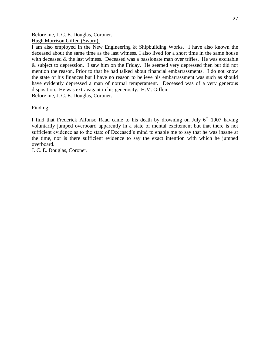Before me, J. C. E. Douglas, Coroner. Hugh Morrison Giffen (Sworn).

I am also employed in the New Engineering & Shipbuilding Works. I have also known the deceased about the same time as the last witness. I also lived for a short time in the same house with deceased & the last witness. Deceased was a passionate man over trifles. He was excitable & subject to depression. I saw him on the Friday. He seemed very depressed then but did not mention the reason. Prior to that he had talked about financial embarrassments. I do not know the state of his finances but I have no reason to believe his embarrassment was such as should have evidently depressed a man of normal temperament. Deceased was of a very generous disposition. He was extravagant in his generosity. H.M. Giffen. Before me, J. C. E. Douglas, Coroner.

Finding.

I find that Frederick Alfonso Raad came to his death by drowning on July  $6<sup>th</sup>$  1907 having voluntarily jumped overboard apparently in a state of mental excitement but that there is not sufficient evidence as to the state of Deceased's mind to enable me to say that he was insane at the time, nor is there sufficient evidence to say the exact intention with which he jumped overboard.

J. C. E. Douglas, Coroner.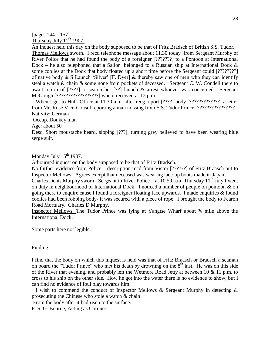#### [pages  $144 - 157$ ] Thursday July  $11^{th}$  1907.

An Inquest held this day on the body supposed to be that of Fritz Bradsch of British S.S. Tudor. Thomas Mellows sworn. I recd telephone message about 11.30 today from Sergeant Murphy of River Police that he had found the body of a foreigner [???????] to a Pontoon at International Dock – he also telephoned that a Sailor belonged to a Russian ship at International Dock  $\&$ some coolies at the Dock that body floated up a short time before the Sergeant could [????????] of native body & S Launch 'Silver' [F. Dyer] & thereby saw one of men who they can identify steal a watch & chain & some none from pockets of deceased. Sergeant C. W. Condell there to await return of [????] to search her [??] launch & arrest whoever was concerned. Sergeant McGough [??????????????????] where received at 12 p.m.

When I got to Hulk Office at 11.30 a.m. after recg report [????] body [??????????????] a letter from Mr. Rose Vice-Consul reporting a man missing from S.S. Tudor Prince [????????????????]. Nativity: German

Occup. Donkey man

Age: about 50

Desc. Short moustache beard, sloping [???], turning grey believed to have been wearing blue serge suit.

Monday July  $15<sup>th</sup> 1907$ .

Adjourned inquest on the body supposed to be that of Fritz Bradsch.

No further evidence from Police – description recd from Victor [??????] of Fritz Braasch put to Inspector Mellows. Agrees except that deceased was wearing lace-up boots made in Japan.

Charles Denis Murphy sworn. Sergeant in River Police – at 10.50 a.m. Thursday  $11<sup>th</sup>$  July I went on duty in neighbourhood of International Dock. I noticed a number of people on pontoon & on going there to enquire cause I found a foreigner floating face upwards. I made enquiries & found coolies had been robbing body- it was secured with a piece of rope. I brought the body to Fearon Road Mortuary. Charles D Murphy.

Inspector Mellows. The Tudor Prince was lying at Yangtse Wharf about ¾ mile above the International Dock.

Some parts here not legible.

## Finding.

I find that the body on which this inquest is held was that of Fritz Braasch or Bradsch a seaman on board the "Tudor Prince" who met his death by drowning on the  $8<sup>th</sup>$  inst. He was on this side of the River that evening, and probably left the Wetmore Road Jetty at between 10 & 11 p.m. to cross to his ship on the other side. How he got into the water there is no evidence to show, but I can find no evidence of foul play towards him.

 I wish to commend the conduct of Inspector Mellows & Sergeant Murphy in detecting & prosecuting the Chinese who stole a watch & chain

From the body after it had risen to the surface.

F. S. G. Bourne, Acting as Coroner.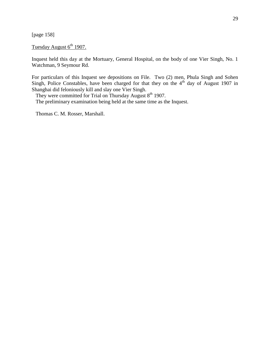[page 158]

# Tuesday August  $6<sup>th</sup>$  1907.

Inquest held this day at the Mortuary, General Hospital, on the body of one Vier Singh, No. 1 Watchman, 9 Seymour Rd.

For particulars of this Inquest see depositions on File. Two (2) men, Phula Singh and Sohen Singh, Police Constables, have been charged for that they on the  $4<sup>th</sup>$  day of August 1907 in Shanghai did feloniously kill and slay one Vier Singh.

They were committed for Trial on Thursday August 8<sup>th</sup> 1907. The preliminary examination being held at the same time as the Inquest.

Thomas C. M. Rosser, Marshall.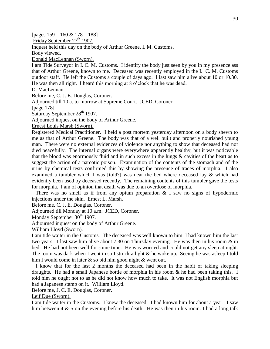[pages 159 – 160 & 178 – 188]

Friday September 27<sup>th</sup> 1907.

Inquest held this day on the body of Arthur Greene, I. M. Customs.

Body viewed.

Donald MacLennan (Sworn).

I am Tide Surveyor in I. C. M. Customs. I identify the body just seen by you in my presence ass that of Arthur Greene, known to me. Deceased was recently employed in the I. C. M. Customs outdoor staff. He left the Customs a couple of days ago. I last saw him alive about 10 or 10.30. He was then all right. I heard this morning at 8 o'clock that he was dead.

D. MacLennan.

Before me, C. J. E. Douglas, Coroner.

Adjourned till 10 a. to-morrow at Supreme Court. JCED, Coroner.

[page 178]

Saturday September 28<sup>th</sup> 1907.

Adjourned inquest on the body of Arthur Greene.

Ernest Louis Marsh (Sworn).

Registered Medical Practitioner. I held a post mortem yesterday afternoon on a body shewn to me as that of Arthur Greene. The body was that of a well built and properly nourished young man. There were no external evidences of violence nor anything to show that deceased had not died peacefully. The internal organs were everywhere apparently healthy, but it was noticeable that the blood was enormously fluid and in such excess in the lungs & cavities of the heart as to suggest the action of a narcotic poison. Examination of the contents of the stomach and of the urine by chemical tests confirmed this by showing the presence of traces of morphia. I also examined a tumbler which I was [told?] was near the bed where deceased lay & which had evidently been used by deceased recently. The remaining contents of this tumbler gave the tests for morphia. I am of opinion that death was due to an overdose of morphia.

There was no smell as if from any opium preparation  $\&$  I saw no signs of hypodermic injections under the skin. Ernest L. Marsh.

Before me, C. J. E. Douglas, Coroner.

Adjourned till Monday at 10 a.m. JCED, Coroner.

Monday September  $30<sup>th</sup> 1907$ .

Adjourned inquest on the body of Arthur Greene.

William Lloyd (Sworn).

I am tide waiter in the Customs. The deceased was well known to him. I had known him the last two years. I last saw him alive about 7.30 on Thursday evening. He was then in his room & in bed. He had not been well for some time. He was worried and could not get any sleep at night. The room was dark when I went in so I struck a light & he woke up. Seeing he was asleep I told him I would come in later & so bid him good night & went out.

 I know that for the last 2 months the deceased had been in the habit of taking sleeping draughts. He had a small Japanese bottle of morphia in his room  $\&$  he had been taking this. I told him he ought not to as he did not know how much to take. It was not English morphia but had a Japanese stamp on it. William Lloyd.

Before me, J. C. E. Douglas, Coroner.

Leif Due (Sworn).

I am tide waiter in the Customs. I knew the deceased. I had known him for about a year. I saw him between  $4 \& 5$  on the evening before his death. He was then in his room. I had a long talk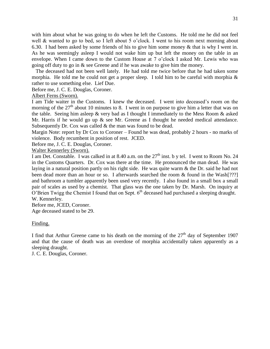with him about what he was going to do when he left the Customs. He told me he did not feel well & wanted to go to bed, so I left about 5 o'clock. I went to his room next morning about 6.30. I had been asked by some friends of his to give him some money & that is why I went in. As he was seemingly asleep I would not wake him up but left the money on the table in an envelope. When I came down to the Custom House at 7 o'clock I asked Mr. Lewis who was going off duty to go in & see Greene and if he was awake to give him the money.

 The deceased had not been well lately. He had told me twice before that he had taken some morphia. He told me he could not get a proper sleep. I told him to be careful with morphia & rather to use something else. Lief Due.

Before me, J. C. E. Douglas, Coroner.

# Albert Ferns (Sworn).

I am Tide waiter in the Customs. I knew the deceased. I went into deceased's room on the morning of the  $27<sup>th</sup>$  about 10 minutes to 8. I went in on purpose to give him a letter that was on the table. Seeing him asleep & very bad as I thought I immediately to the Mess Room & asked Mr. Harris if he would go up  $\&$  see Mr. Greene as I thought he needed medical attendance. Subsequently Dr. Cox was called & the man was found to be dead.

Margin Note: report by Dr Cox to Coroner – Found he was dead, probably 2 hours - no marks of violence. Body recumbent in position of rest. JCED.

Before me, J. C. E. Douglas, Coroner.

Walter Kennerley (Sworn).

I am Det. Constable. I was calked in at 8.40 a.m. on the  $27<sup>th</sup>$  inst. b y tel. I went to Room No. 24 in the Customs Quarters. Dr. Cox was there at the time. He pronounced the man dead. He was laying in a natural position partly on his right side. He was quite warm & the Dr. said he had not been dead more than an hour or so. I afterwards searched the room & found in the Wash[???] and bathroom a tumbler apparently been used very recently. I also found in a small box a small pair of scales as used by a chemist. That glass was the one taken by Dr. Marsh. On inquiry at O'Brien Twigg the Chemist I found that on Sept.  $6<sup>th</sup>$  deceased had purchased a sleeping draught. W. Kennerley.

Before me, JCED, Coroner. Age deceased stated to be 29.

## Finding.

I find that Arthur Greene came to his death on the morning of the  $27<sup>th</sup>$  day of September 1907 and that the cause of death was an overdose of morphia accidentally taken apparently as a sleeping draught.

J. C. E. Douglas, Coroner.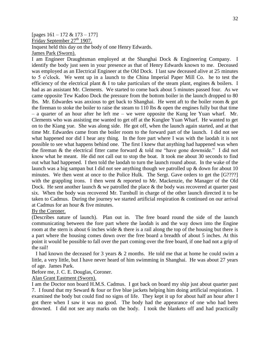## [pages 161 – 172 & 173 – 177] Friday September  $27<sup>th</sup> 1907$ . Inquest held this day on the body of one Henry Edwards. James Park (Sworn).

I am Engineer Draughtsman employed at the Shanghai Dock & Engineering Company. I identify the body just seen in your presence as that of Henry Edwards known to me. Deceased was employed as an Electrical Engineer at the Old Dock. I last saw deceased alive at 25 minutes to 5 o'clock. We went up in a launch to the China Imperial Paper Mill Co. he to test the efficiency of the electrical plant  $& I$  to take particulars of the steam plant, engines  $&$  boilers. I had as an assistant Mr. Clements. We started to come back about 5 minutes passed four. As we came opposite Tew Kadoo Dock the pressure from the bottom boiler in the launch dropped to 80 lbs. Mr. Edwardes was anxious to get back to Shanghai. He went aft to the boiler room & got the fireman to stoke the boiler to raise the steam to 110 lbs & open the engines fully but that time – a quarter of an hour after he left me – we were opposite the Kung lee Yuan wharf. Mr. Clements who was assisting me wanted to get off at the Kunglee Yuan Wharf. He wanted to get on to the Kiang yue. She was along side. He got off, when the launch again started, and at that time Mr. Edwardes came from the boiler room to the forward part of the launch. I did not see what happened nor did I hear any thing. In the fore part where I was with the laodah it is not possible to see what happens behind one. The first I knew that anything had happened was when the fireman & the electrical fitter came forward & told me "have gone downside." I did not know what he meant. He did not call out to stop the boat. It took me about 30 seconds to find out what had happened. I then told the laodah to turn the launch round about. In the wake of the launch was a big sampan but I did not see anything though we patrolled up & down for about 10 minutes. We then went at once to the Police Hulk. The Sergt. Gave orders to get the [G????] with the grappling irons. I then went & reported to Mr. Mackenzie, the Manager of the Old Dock. He sent another launch  $\&$  we patrolled the place  $\&$  the body was recovered at quarter past six. When the body was recovered Mr. Turnbull in charge of the other launch directed it to be taken to Cadmus. During the journey we started artificial respiration & continued on our arrival at Cadmus for an hour & five minutes.

#### By the Coroner.

(Describes nature of launch). Plan out in. The free board round the side of the launch communicating between the fore part where the laodah is and the way down into the Engine room at the stern is about 6 inches wide & there is a rail along the top of the housing but there is a part where the housing comes down over the free board a breadth of about 5 inches. At this point it would be possible to fall over the part coming over the free board, if one had not a grip of the rail!

I had known the deceased for 3 years  $& 2$  months. He told me that at home he could swim a little, a very little, but I have never heard of him swimming in Shanghai. He was about 27 years of age. James Park.

Before me, J. C. E. Douglas, Coroner.

## Alan Grant Eastment (Sworn).

I am the Doctor non board H.M.S. Cadmus. I got back on board my ship just about quarter past 7. I found that my Seward & four or five blue jackets helping him doing artificial respiration. I examined the body but could find no signs of life. They kept it up for about half an hour after I got there when I saw it was no good. The body had the appearance of one who had been drowned. I did not see any marks on the body. I took the blankets off and had practically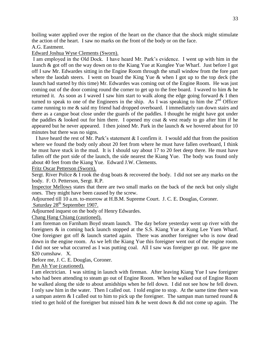boiling water applied over the region of the heart on the chance that the shock might stimulate the action of the heart. I saw no marks on the front of the body or on the face.

A.G. Eastment.

Edward Joshua Wyse Clements (Sworn).

I am employed in the Old Dock. I have heard Mr. Park's evidence. I went up with him in the launch & got off on the way down on to the Kiang Yue at Kunglee Yue Wharf. Just before I got off I saw Mr. Edwardes sitting in the Engine Room through the small window from the fore part where the laodah steers. I went on board the King Yue & when I got up to the top deck (the launch had started by this time) Mr. Edwardes was coming out of the Engine Room. He was just coming out of the door coming round the corner to get up to the free board. I waved to him & he returned it. As soon as I waved I saw him start to walk along the edge going forward  $\&$  I then turned to speak to one of the Engineers in the ship. As I was speaking to him the  $2<sup>nd</sup>$  Officer came running to me & said my friend had dropped overboard. I immediately ran down stairs and there as a cangue boat close under the guards of the paddles. I thought he might have got under the paddles  $\&$  looked out for him there. I opened my coat  $\&$  vest ready to go after him if he appeared but he never appeared. I then joined Mr. Park in the launch  $\&$  we hovered about for 10 minutes but there was no signs.

 I have heard the rest of Mr. Park's statement & I confirm it. I would add that from the position where we found the body only about 20 feet from where he must have fallen overboard, I think he must have stuck in the mud. It is I should say about 17 to 20 feet deep there. He must have fallen off the port side of the launch, the side nearest the Kiang Yue. The body was found only about 40 feet from the Kiang Yue. Edward J.W. Clements.

Fritz Oscar Petterson (Sworn).

Sergt. River Police & I rook the drag boats & recovered the body. I did not see any marks on the body. F. O. Petterson, Sergt. R.P.

Inspector Mellows states that there are two small marks on the back of the neck but only slight ones. They might have been caused by the screw.

Adjourned till 10 a.m. to-morrow at H.B.M. Supreme Court. J. C. E. Douglas, Coroner. Saturday 28<sup>th</sup> September 1907.

Adjourned inquest on the body of Henry Edwardes.

Chang Hang Chiang (cautioned).

I am foreman on Farnham Boyd steam launch. The day before yesterday went up river with the foreigners & in coming back launch stopped at the S.S. Kiang Yue at Kung Lee Yuen Wharf. One foreigner got off & launch started again. There was another foreigner who is now dead down in the engine room. As we left the Kiang Yue this foreigner went out of the engine room. I did not see what occurred as I was putting coal. All I saw was foreigner go out. He gave me \$20 cumshaw. X.

Before me, J. C. E. Douglas, Coroner.

Pan Ah Yue (cautioned).

I am electrician. I was sitting in launch with fireman. After leaving Kiang Yue I saw foreigner who had been attending to steam go out of Engine Room. When he walked out of Engine Room he walked along the side to about amidships when he fell down. I did not see how he fell down. I only saw him in the water. Then I called out. I told engine to stop. At the same time there was a sampan astern  $&$  I called out to him to pick up the foreigner. The sampan man turned round  $&$ tried to get hold of the foreigner but missed him  $\&$  he went down  $\&$  did not come up again. The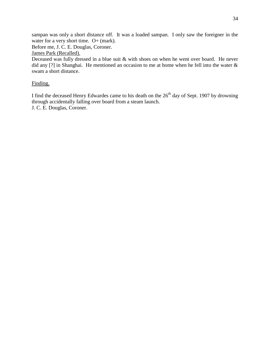sampan was only a short distance off. It was a loaded sampan. I only saw the foreigner in the water for a very short time. O+ (mark).

Before me, J. C. E. Douglas, Coroner.

James Park (Recalled).

Deceased was fully dressed in a blue suit & with shoes on when he went over board. He never did any [?] in Shanghai. He mentioned an occasion to me at home when he fell into the water & swam a short distance.

# Finding.

I find the deceased Henry Edwardes came to his death on the  $26<sup>th</sup>$  day of Sept. 1907 by drowning through accidentally falling over board from a steam launch. J. C. E. Douglas, Coroner.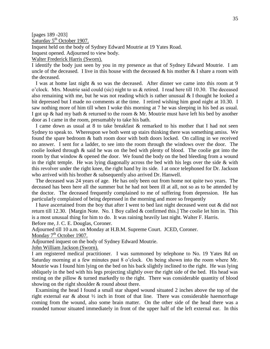[pages 189 -203]

Saturday 5<sup>th</sup> October 1907.

Inquest held on the body of Sydney Edward Moutrie at 19 Yates Road.

Inquest opened. Adjourned to view body.

Walter Frederick Harris (Sworn).

I identify the body just seen by you in my presence as that of Sydney Edward Moutrie. I am uncle of the deceased. I live in this house with the deceased  $\&$  his mother  $\&$  I share a room with the deceased.

 I was at home last night & so was the deceased. After dinner we came into this room at 9 o'clock. Mrs. Moutrie said could (sic) night to us & retired. I read here till 10.30. The deceased also remaining with me, but he was not reading which is rather unusual & I thought he looked a bit depressed but I made no comments at the time. I retired wishing him good night at 10.30. I saw nothing more of him till when I woke this morning at 7 he was sleeping in his bed as usual. I got up & had my bath & returned to the room & Mr. Moutrie must have left his bed by another door as I came in the room, presumably to take his bath.

 I came down as usual at 8 to take breakfast & remarked to his mother that I had not seen Sydney to speak to. Whereupon we both went up stairs thinking there was something amiss. We found the spare bedroom & bath room door with both doors locked. On calling in we received no answer. I sent for a ladder, to see into the room through the windows over the door. The coolie looked through & said he was on the bed with plenty of blood. The coolie got into the room by that window & opened the door. We found the body on the bed bleeding from a wound in the right temple. He was lying diagonally across the bed with his legs over the side  $\&$  with this revolver under the right knee, the right hand by its side. I at once telephoned for Dr. Jackson who arrived with his brother & subsequently also arrived Dr. Hanwell.

 The deceased was 24 years of age. He has only been out from home not quite two years. The deceased has been here all the summer but he had not been ill at all, not so as to be attended by the doctor. The deceased frequently complained to me of suffering from depression. He has particularly complained of being depressed in the morning and more so frequently

 I have ascertained from the boy that after I went to bed last night deceased went out & did not return till 12.30. [Margin Note. No. 1 Boy called & confirmed this.] The coolie let him in. This is a most unusual thing for him to do. It was raining heavily last night. Walter F. Harris. Before me, J. C. E. Douglas, Coroner.

Adjourned till 10 a.m. on Monday at H.B.M. Supreme Court. JCED, Coroner.

Monday 7<sup>th</sup> October 1907.

Adjourned inquest on the body of Sydney Edward Moutrie.

John William Jackson (Sworn).

I am registered medical practitioner. I was summoned by telephone to No. 19 Yates Rd on Saturday morning at a few minutes past 8 o'clock. On being shown into the room where Mr. Moutrie was I found him lying on the bed on his back slightly inclined to the right. He was lying obliquely in the bed with his legs projecting slightly over the right side of the bed. His head was resting on the pillow & turned markedly to the right. There was considerable quantity of blood showing on the right shoulder & round about there.

 Examining the head I found a small star shaped wound situated 2 inches above the top of the right external ear & about ½ inch in front of that line. There was considerable haemorrhage coming from the wound, also some brain matter. On the other side of the head there was a rounded tumour situated immediately in front of the upper half of the left external ear. In this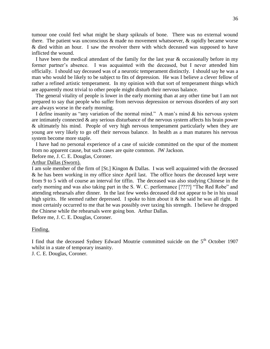tumour one could feel what might be sharp spiknals of bone. There was no external wound there. The patient was unconscious & made no movement whatsoever, & rapidly became worse & died within an hour. I saw the revolver there with which deceased was supposed to have inflicted the wound.

I have been the medical attendant of the family for the last year  $\&$  occasionally before in my former partner's absence. I was acquainted with the deceased, but I never attended him officially. I should say deceased was of a neurotic temperament distinctly. I should say he was a man who would be likely to be subject to fits of depression. He was I believe a clever fellow of rather a refined artistic temperament. In my opinion with that sort of temperament things which are apparently most trivial to other people might disturb their nervous balance.

 The general vitality of people is lower in the early morning than at any other time but I am not prepared to say that people who suffer from nervous depression or nervous disorders of any sort are always worse in the early morning.

 I define insanity as "any variation of the normal mind." A man's mind & his nervous system are intimately connected & any serious disturbance of the nervous system affects his brain power & ultimately his mind. People of very high nervous temperament particularly when they are young are very likely to go off their nervous balance. In health as a man matures his nervous system become more staple.

 I have had no personal experience of a case of suicide committed on the spur of the moment from no apparent cause, but such cases are quite common. JW Jackson.

Before me, J. C. E. Douglas, Coroner.

#### Arthur Dallas (Sworn).

I am sole member of the firm of [St.] Kingon & Dallas. I was well acquainted with the deceased & he has been working in my office since April last. The office hours the deceased kept were from 9 to 5 with of course an interval for tiffin. The deceased was also studying Chinese in the early morning and was also taking part in the S. W. C. performance [????] "The Red Robe" and attending rehearsals after dinner. In the last few weeks deceased did not appear to be in his usual high spirits. He seemed rather depressed. I spoke to him about it & he said he was all right. It most certainly occurred to me that he was possibly over taxing his strength. I believe he dropped the Chinese while the rehearsals were going bon. Arthur Dallas. Before me, J. C. E. Douglas, Coroner.

#### Finding.

I find that the deceased Sydney Edward Moutrie committed suicide on the 5<sup>th</sup> October 1907 whilst in a state of temporary insanity.

J. C. E. Douglas, Coroner.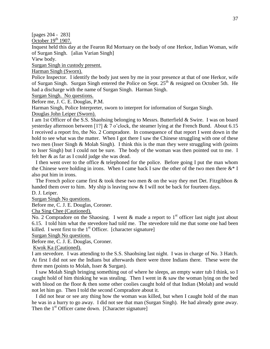[pages 204 - 283]

October  $19<sup>th</sup> 1907$ .

Inquest held this day at the Fearon Rd Mortuary on the body of one Herkor, Indian Woman, wife of Surgan Singh. [alias Varian Singh]

View body.

Surgan Singh in custody present.

Harman Singh (Sworn).

Police Inspector. I identify the body just seen by me in your presence at that of one Herkor, wife of Surgan Singh. Surgan Singh entered the Police on Sept.  $25<sup>th</sup>$  & resigned on October 5th. He had a discharge with the name of Surgan Singh. Harman Singh.

Surgan Singh. No questions.

Before me, J. C. E. Douglas, P.M.

Harman Singh, Police Interpreter, sworn to interpret for information of Surgan Singh.

Douglas John Leiper (Sworn).

I am 1st Officer of the S.S. Shaohsing belonging to Messrs. Butterfield & Swire. I was on board yesterday afternoon between [1?]  $& 7$  o'clock, the steamer lying at the French Bund. About 6.15 I received a report fro, the No. 2 Compradore. In consequence of that report I went down in the hold to see what was the matter. When I got there I saw the Chinese struggling with one of these two men (Isser Singh & Molah Singh). I think this is the man they were struggling with (points to Isser Singh) but I could not be sure. The body of the woman was then pointed out to me. I felt her & as far as I could judge she was dead.

 I then went over to the office & telephoned for the police. Before going I put the man whom the Chinese were holding in irons. When I came back I saw the other of the two men there  $\&^*$  I also put him in irons.

The French police came first  $\&$  took these two men  $\&$  on the way they met Det. Fitzgibbon  $\&$ handed them over to him. My ship is leaving now & I will not be back for fourteen days.

D. J. Leiper.

Surgan Singh No questions.

Before me, C. J. E. Douglas, Coroner.

Cha Sing Chee (Cautioned).

No. 2 Compradore on the Shaosing. I went  $\&$  made a report to 1<sup>st</sup> officer last night just about 6.15. I told him what the stevedore had told me. The stevedore told me that some one had been killed. I went first to the  $1<sup>st</sup>$  Officer. [character signature]

Surgan Singh No questions.

Before me, C. J. E. Douglas, Coroner.

Kwok Ka (Cautioned).

I am stevedore. I was attending to the S.S. Shaohsing last night. I was in charge of No. 3 Hatch. At first I did not see the Indians but afterwards there were three Indians there. These were the three men (points to Molah, Isser & Surgan).

 I saw Molah Singh bringing something out of where he sleeps, an empty water tub I think, so I caught hold of him thinking he was stealing. Then I went in & saw the woman lying on the bed with blood on the floor  $\&$  then some other coolies caught hold of that Indian (Molah) and would not let him go. Then I told the second Compradore about it.

 I did not hear or see any thing how the woman was killed, but when I caught hold of the man he was in a hurry to go away. I did not see that man (Surgan Singh). He had already gone away. Then the  $1<sup>st</sup>$  Officer came down. [Character signature]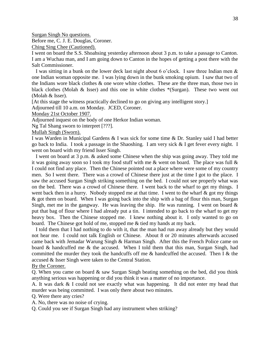Surgan Singh No questions.

Before me, C. J. E. Douglas, Coroner.

Ching Sing Chee (Cautioned).

I went on board the S.S. Shoahsing yesterday afternoon about 3 p.m. to take a passage to Canton. I am a Wuchau man, and I am going down to Canton in the hopes of getting a post there with the Salt Commissioner.

I was sitting in a bunk on the lower deck last night about 6 o'clock. I saw three Indian men  $\&$ one Indian woman opposite me. I was lying down in the bunk smoking opium. I saw that two of the Indians wore black clothes & one wore white clothes. These are the three man, those two in black clothes (Molah & Isser) and this one in white clothes  $*(Surgan)$ . These two went out (Molah & Isser).

[At this stage the witness practically declined to go on giving any intelligent story.]

Adjourned till 10 a.m. on Monday. JCED, Coroner.

Monday 21st October 1907.

Adjourned inquest on the body of one Herkor Indian woman.

Ng Tal Shang sworn to interpret [???].

Mullah Singh (Sworn).

I was Warden in Municipal Gardens & I was sick for some time & Dr. Stanley said I had better go back to India. I took a passage in the Shaoshing. I am very sick & I get fever every night. I went on board with my friend Isser Singh.

 I went on board at 3 p.m. & asked some Chinese when the ship was going away. They told me it was going away soon so I took my food stuff with me & went on board. The place was full & I could not find any place. Then the Chinese pointed out a place where were some of my country men. So I went there. There was a crowd of Chinese there just at the time I got to the place. I saw the accused Surgan Singh striking something on the bed. I could not see properly what was on the bed. There was a crowd of Chinese there. I went back to the wharf to get my things. I went back then in a hurry. Nobody stopped me at that time. I went to the wharf  $\&$  got my things & got them on board. When I was going back into the ship with a bag of flour this man, Surgan Singh, met me in the gangway. He was leaving the ship. He was running. I went on board  $\&$ put that bag of flour where I had already put a tin. I intended to go back to the wharf to get my heavy box. Then the Chinese stopped me. I knew nothing about it. I only wanted to go on board. The Chinese got hold of me, stopped me & tied my hands at my back.

 I told them that I had nothing to do with it, that the man had run away already but they would not hear me. I could not talk English or Chinese. About 8 or 20 minutes afterwards accused came back with Jemadar Warung Singh & Harman Singh. After this the French Police came on board & handcuffed me & the accused. When I told them that this man, Surgan Singh, had committed the murder they took the handcuffs off me  $\&$  handcuffed the accused. Then I  $\&$  the accused & Isser Singh were taken to the Central Station.

By the Coroner.

Q. When you came on board & saw Surgan Singh beating something on the bed, did you think anything serious was happening or did you think it was a matter of no importance.

A. It was dark & I could not see exactly what was happening. It did not enter my head that murder was being committed. I was only there about two minutes.

Q. Were there any cries?

A. No, there was no noise of crying.

Q. Could you see if Surgan Singh had any instrument when striking?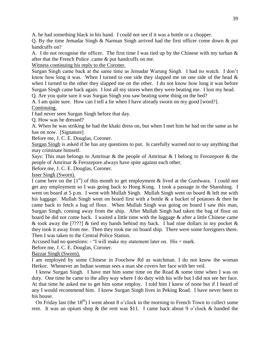A. he had something black in his hand. I could not see if it was a bottle or a chopper.

Q. By the time Jemadar Singh & Narman Singh arrived had the first officer come down & put handcuffs on?

A. I do not recognise the officer. The first time I was tied up by the Chinese with my turban & after that the French Police .came & put handcuffs on me.

Witness continuing his reply to the Coroner.

Surgan Singh came back at the same time as Jemadar Warung Singh. I had no watch. I don't know how long it was. When I turned to one side they slapped me on one side of the head  $\&$ when I turned to the other they slapped me on the other. I do not know how long it was before Surgan Singh came back again. I lost all my stores when they were beating me. I lost my head.

Q. Are you quite sure it was Surgan Singh you saw beating some thing on the bed?

A. I am quite sure. How can I tell a lie when I have already sworn on my good [word?]. Continuing.

I had never seen Surgan Singh before that day.

Q. How was he dressed?

A. When he was striking he had the khaki dress on, but when I met him he had on the same as he has on now. [Signature]

Before me, J. C. E. Douglas, Coroner.

Surgan Singh is asked if he has any questions to put. Is carefully warned not to say anything that may criminate himself.

Says: This man belongs to Amritsar & the people of Amritsar & I belong to Ferozepore & the people of Amritsar & Ferozepore always have spite against each other.

Before me, J. C. E. Douglas, Coroner.

Isser Singh (Sworn).

I came here on the  $[1<sup>st</sup>]$  of this month to get employment & lived at the Gurdwara. I could not get any employment so I was going back to Hong Kong. I took a passage in the Shaoshing. I went on board at 5 p.m. I went with Mullah Singh. Mullah Singh went on board & left me with his luggage. Mullah Singh went on board first with a bottle & a bucket of potatoes & then he came back to fetch a bag of flour. When Mullah Singh was going on board I saw this man, Surgan Singh, coming away from the ship. After Mullah Singh had taken the bag of flour on board he did not come back. I waited a little time with the luggage & after a little Chinese came & took away the [????] & tied my hands behind my back. I had nine dollars in my pocket & they took it away from me. Then they took me on board ship. There were some foreigners there. Then I was taken to the Central Police Station.

Accused had no questions: - "I will make my statement later on. His + mark.

Before me, J. C. E. Douglas, Coroner.

Bazzar Singh (Sworn).

I am employed by some Chinese in Foochow Rd as watchman. I do not know the woman Herkor. Whenever an Indian woman sees a man she covers her face with her veil.

 I know Surgan Singh. I have met him some time on the Road & some time when I was on duty. One time he came to the alley way where I do duty with his wife but I did not see her face. At that time he asked me to get him some employ. I told him I knew of none but if I heard of any I would recommend him. I know Surgan Singh lives in Peking Road. I have never been to his house.

On Friday last (the  $18<sup>th</sup>$ ) I went about 8 o'clock in the morning to French Town to collect some rent. It was an opium shop & the rent was \$11. I came back about 9 o'clock & handed the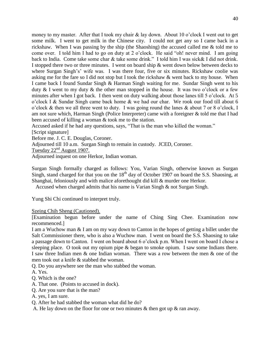money to my master. After that I took my chair & lay down. About 10 o'clock I went out to get some milk. I went to get milk in the Chinese city. I could not get any so I came back in a rickshaw. When I was passing by the ship (the Shaoshing) the accused called me & told me to come over. I told him I had to go on duty at 2 o'clock. He said "oh! never mind. I am going back to India. Come take some char & take some drink." I told him I was sick& I did not drink. I stopped there two or three minutes. I went on board ship & went down below between decks to where Surgan Singh's' wife was. I was there four, five or six minutes. Rickshaw coolie was asking me for the fare so I did not stop but I took the rickshaw & went back to my house. When I came back I found Sundar Singh & Harman Singh waiting for me. Sundar Singh went to his duty  $\&$  I went to my duty  $\&$  the other man stopped in the house. It was two o'clock or a few minutes after when I got back. I then went on duty walking about those lanes till 5 o'clock. At 5 o'clock I & Sundar Singh came back home & we had our char. We rook our food till about 6 o'clock & then we all three went to duty. I was going round the lanes & about 7 or 8 o'clock, I am not sure which, Harman Singh (Police Interpreter) came with a foreigner & told me that I had been accused of killing a woman & took me to the station.

Accused asked if he had any questions, says, "That is the man who killed the woman."

[Script signature]

Before me. J. C. E. Douglas, Coroner.

Adjourned till 10 a.m. Surgan Singh to remain in custody. JCED, Coroner.

Tuesday  $22<sup>nd</sup>$  August 1907.

Adjourned inquest on one Herkor, Indian woman.

Surgan Singh formally charged as follows: You, Varian Singh, otherwise known as Surgan Singh, stand charged for that you on the  $18<sup>th</sup>$  day of October 1907 on board the S.S. Shaosing, at Shanghai, feloniously and with malice aforethought did kill & murder one Herkor.

Accused when charged admits that his name is Varian Singh & not Surgan Singh.

Yung Shi Chi continued to interpret truly.

Szeing Chih Sheng (Cautioned).

[Examination begun before under the name of Ching Sing Chee. Examination now recommenced.]

I am a Wuchow man & I am on my way down to Canton in the hopes of getting a billet under the Salt Commissioner there, who is also a Wuchow man. I went on board the S.S. Shaosing to take a passage down to Canton. I went on board about 6 o'clock p.m. When I went on board I chose a sleeping place. O took out my opium pipe & began to smoke opium. I saw some Indians there. I saw three Indian men & one Indian woman. There was a row between the men & one of the men took out a knife & stabbed the woman.

Q. Do you anywhere see the man who stabbed the woman.

A. Yes.

- Q. Which is the one?
- A. That one. (Points to accused in dock).
- Q. Are you sure that is the man?
- A. yes, I am sure.

Q. After he had stabbed the woman what did he do?

A. He lay down on the floor for one or two minutes & then got up & ran away.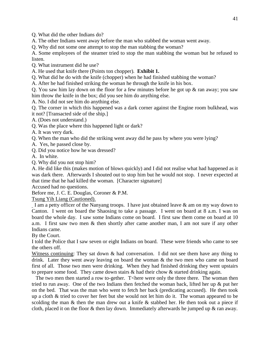Q. What did the other Indians do?

A. The other Indians went away before the man who stabbed the woman went away.

Q. Why did not some one attempt to stop the man stabbing the woman?

A. Some employees of the steamer tried to stop the man stabbing the woman but he refused to listen.

Q. What instrument did he use?

A. He used that knife there (Points ton chopper). **Exhibit 1.**

Q. What did he do with the knife (chopper) when he had finished stabbing the woman?

A. After he had finished striking the woman he through the knife in his box.

Q. You saw him lay down on the floor for a few minutes before he got up & ran away; you saw him throw the knife in the box; did you see him do anything else.

A. No. I did not see him do anything else.

Q. The corner in which this happened was a dark corner against the Engine room bulkhead, was it not? [Transacted side of the ship.]

A. (Does not understand.)

Q. Was the place where this happened light or dark?

A. It was very dark.

Q. When the man who did the striking went away did he pass by where you were lying?

A. Yes, he passed close by.

Q. Did you notice how he was dressed?

A. In white.

Q. Why did you not stop him?

A. He did like this (makes motion of blows quickly) and I did not realise what had happened as it was dark there. Afterwards I shouted out to stop him but he would not stop. I never expected at that time that he had killed the woman. [Character signature]

Accused had no questions.

Before me, J. C. E. Douglas, Coroner & P.M.

Tsung Yih Liang (Cautioned).

I am a petty officer of the Nanyang troops. I have just obtained leave & am on my way down to Canton. I went on board the Shaosing to take a passage. I went on board at 8 a.m. I was on board the whole day. I saw some Indians come on board. I first saw them come on board at 10 a.m. I first saw two men & then shortly after came another man, I am not sure if any other Indians came.

By the Court.

I told the Police that I saw seven or eight Indians on board. These were friends who came to see the others off.

Witness continuing: They sat down & had conversation. I did not see them have any thing to drink. Later they went away leaving on board the woman & the two men who came on board first of all. Those two men were drinking. When they had finished drinking they went upstairs to prepare some food. They came down stairs & had their chow & started drinking again.

The two men then started a row to-gether. T<here were only the three there. The woman then tried to run away. One of the two Indians then fetched the woman back, lifted her up & put her on the bed. That was the man who went to fetch her back (predicating accused). He then took up a cloth & tried to cover her feet but she would not let him do it. The woman appeared to be scolding the man  $\&$  then the man drew out a knife  $\&$  stabbed her. He then took out a piece if cloth, placed it on the floor  $\&$  then lay down. Immediately afterwards he jumped up  $\&$  ran away.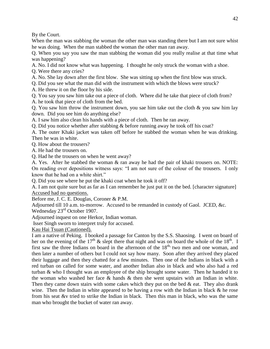By the Court.

When the man was stabbing the woman the other man was standing there but I am not sure whist he was doing. When the man stabbed the woman the other man ran away.

Q. When you say you saw the man stabbing the woman did you really realise at that time what was happening?

A. No. I did not know what was happening. I thought he only struck the woman with a shoe.

Q. Were there any cries?

A. No. She lay down after the first blow. She was sitting up when the first blow was struck.

Q. Did you see what the man did with the instrument with which the blows were struck?

A. He threw it on the floor by his side.

Q. You say you saw him take out a piece of cloth. Where did he take that piece of cloth from?

A. he took that piece of cloth from the bed.

Q. You saw him throw the instrument down, you sae him take out the cloth  $\&$  you saw him lay down. Did you see him do anything else?

A. I saw him also clean his hands with a piece of cloth. Then he ran away.

Q. Did you notice whether after stabbing & before running away he took off his coat?

A. The outer Khaki jacket was taken off before he stabbed the woman when he was drinking. Then he was in white.

Q. How about the trousers?

A. He had the trousers on.

Q. Had he the trousers on when he went away?

A. Yes. After he stabbed the woman & ran away he had the pair of khaki trousers on. NOTE: On reading over depositions witness says: "I am not sure of the colour of the trousers. I only know that he had on a white shirt."

Q. Did you see where he put the khaki coat when he took it off?

A. I am not quite sure but as far as I can remember he just put it on the bed. [character signature] Accused had no questions.

Before me, J. C. E. Douglas, Coroner & P.M.

Adjourned till 10 a.m. to-morrow. Accused to be remanded in custody of Gaol. JCED, &c.

Wednesday 23<sup>rd</sup> October 1907.

Adjourned inquest on one Herkor, Indian woman.

Isser Singh sworn to interpret truly for accused.

Kau Hai Tsuan (Cautioned).

I am a native of Peking. I booked a passage for Canton by the S.S. Shaosing. I went on board of her on the evening of the 17<sup>th</sup> & slept there that night and was on board the whole of the 18<sup>th</sup>. I first saw the three Indians on board in the afternoon of the  $18<sup>th</sup>$ , two men and one woman, and then later a number of others but I could not say how many. Soon after they arrived they placed their luggage and then they chatted for a few minutes. Then one of the Indians in black with a red turban on called for some water, and another Indian also in black and who also had a red turban & who I thought was an employee of the ship brought some water. Then he handed it to the woman who washed her face & hands & then she went upstairs with an Indian in white. Then they came down stairs with some cakes which they put on the bed  $\&$  eat. They also drank wine. Then the Indian in white appeared to be having a row with the Indian in black & he rose from his seat &v tried to strike the Indian in black. Then this man in black, who was the same man who brought the bucket of water ran away.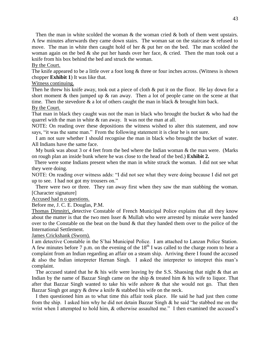Then the man in white scolded the woman  $\&$  the woman cried  $\&$  both of them went upstairs. A few minutes afterwards they came down stairs. The woman sat on the staircase & refused to move. The man in white then caught hold of her  $\&$  put her on the bed. The man scolded the woman again on the bed  $\&$  she put her hands over her face,  $\&$  cried. Then the man took out a knife from his box behind the bed and struck the woman.

By the Court.

The knife appeared to be a little over a foot long  $&$  three or four inches across. (Witness is shown chopper **Exhibit 1**) It was like that.

Witness continuing.

Then he threw his knife away, took out a piece of cloth & put it on the floor. He lay down for a short moment  $\&$  then jumped up  $\&$  ran away. Then a lot of people came on the scene at that time. Then the stevedore  $\&$  a lot of others caught the man in black  $\&$  brought him back. By the Court.

That man in black they caught was not the man in black who brought the bucket & who had the quarrel with the man in white & ran away. It was not the man at all.

NOTE: On reading over these depositions the witness wished to alter this statement, and now says, "it was the same man." From the following statement it is clear he is not sure.

 I am not sure whether I should recognise the man in black who brought the bucket of water. All Indians have the same face.

My bunk was about 3 or 4 feet from the bed where the Indian woman  $\&$  the man were. (Marks on rough plan an inside bunk where he was close to the head of the bed.) **Exhibit 2.**

There were some Indians present when the man in white struck the woman. I did not see what they were doing.

NOTE: On reading over witness adds: "I did not see what they were doing because I did not get up to see. I had not got my trousers on."

 There were two or three. They ran away first when they saw the man stabbing the woman. [Character signature]

Accused had n o questions.

Before me, J. C. E. Douglas, P.M.

Thomas Dimnitri, detective Constable of French Municipal Police explains that all they know about the matter is that the two men Isser & Mullah who were arrested by mistake were handed over to the Constable on the beat on the bund  $\&$  that they handed them over to the police of the International Settlement.

James Crickshank (Sworn).

I am detective Constable in the S'hai Municipal Police. I am attached to Lanzan Police Station. A few minutes before 7 p.m. on the evening of the  $18<sup>th</sup>$  I was called to the charge room to hear a complaint from an Indian regarding an affair on a steam ship. Arriving there I found the accused & also the Indian interpreter Hernan Singh. I asked the interpreter to interpret this man's complaint.

The accused stated that he  $\&$  his wife were leaving by the S.S. Shaosing that night  $\&$  that an Indian by the name of Bazzar Singh came on the ship & treated him & his wife to liquor. That after that Bazzar Singh wanted to take his wife ashore & that she would not go. That then Bazzar Singh got angry & drew a knife & stabbed his wife on the neck.

 I then questioned him as to what time this affair took place. He said he had just then come from the ship. I asked him why he did not detain Bazzar Singh & he said "he stabbed me on the wrist when I attempted to hold him, & otherwise assaulted me." I then examined the accused's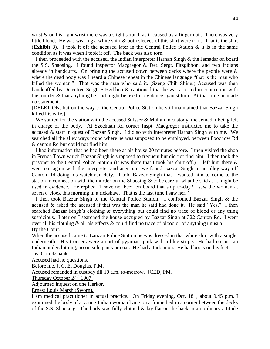wrist  $\&$  on his right wrist there was a slight scratch as if caused by a finger nail. There was very little blood. He was wearing a white shirt & both sleeves of this shirt were torn. That is the shirt (**Exhibit 3**). I took it off the accused later in the Central Police Station & it is in the same condition as it was when I took it off. The back was also torn.

 I then proceeded with the accused, the Indian interpreter Harnan Singh & the Jemadar on board the S.S. Shaosing. I found Inspector Macgregor & Det. Sergt. Fitzgibbon, and two Indians already in handcuffs. On bringing the accused down between decks where the people were & where the dead body was I heard a Chinese repeat in the Chinese language "that is the man who killed the woman." That was the man who said it. (Szeng Chih Shing.) Accused was then handcuffed by Detective Sergt. Fitzgibbon & cautioned that he was arrested in connection with the murder & that anything he said might be used in evidence against him. At that time he made no statement.

[DELETION: but on the way to the Central Police Station he still maintained that Bazzar Singh killed his wife.]

We started for the station with the accused  $\&$  Isser  $\&$  Mullah in custody, the Jemadar being left in charge of the body. At Szechuan Rd corner Inspt. Macgregor instructed me to take the accused & start in quest of Bazzar Singh. I did so with Interpreter Harnan Singh with me. We searched all the alley ways round where he was supposed to be employed, between Foochow Rd & canton Rd but could not find him.

 I had information that he had been there at his house 20 minutes before. I then visited the shop in French Town which Bazzar Singh is supposed to frequent but did not find him. I then took the prisoner to the Central Police Station (It was there that I took his shirt off.) I left him there & went out again with the interpreter and at 9 p.m. we found Bazzar Singh in an alley way off Canton Rd doing his watchman duty. I told Bazzar Singh that I wanted him to come to the station in connection with the murder on the Shaosing  $\&$  to be careful what he said as it might be used in evidence. He replied "I have not been on board that ship to-day? I saw the woman at seven o'clock this morning in a rickshaw. That is the last time I saw her."

 I then took Bazzar Singh to the Central Police Station. I confronted Bazzar Singh & the accused  $\&$  asked the accused if that was the man he said had done it. He said "Yes." I then searched Bazzar Singh's clothing & everything but could find no trace of blood or any thing suspicious. Later on I searched the house occupied by Bazzar Singh at 322 Canton Rd. I went over all his clothing & all his effects & could find no trace of blood or of anything unusual. By the Court.

When the accused came to Lanzan Police Station he was dressed in that white shirt with a singlet underneath. His trousers were a sort of pyjamas, pink with a blue stripe. He had on just an Indian underclothing, no outside pants or coat. He had a turban on. He had boots on his feet. Jas. Cruickshank.

Accused had no questions.

Before me, J. C. E. Douglas, P.M.

Accused remanded in custody till 10 a.m. to-morrow. JCED, PM.

Thursday October  $24<sup>th</sup>$  1907.

Adjourned inquest on one Herkor.

Ernest Louis Marsh (Sworn).

I am medical practitioner in actual practice. On Friday evening, Oct. 18<sup>th</sup>, about 9.45 p.m. I examined the body of a young Indian woman lying on a frame bed in a corner between the decks of the S.S. Shaosing. The body was fully clothed & lay flat on the back in an ordinary attitude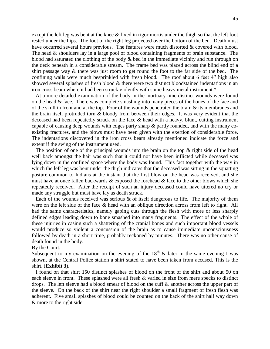except the left leg was bent at the knee & fixed in rigor mortis under the thigh so that the left foot rested under the hips. The foot of the right leg projected over the bottom of the bed. Death must have occurred several hours previous. The features were much distorted & covered with blood. The head & shoulders lay in a large pool of blood containing fragments of brain substance. The blood had saturated the clothing of the body & bed in the immediate vicinity and run through on the deck beneath in a considerable stream. The frame bed was placed across the blind end of a shirt passage way & there was just room to get round the foot to the far side of the bed. The confining walls were much besprinkled with fresh blood. The roof about 6 feet 4" high also showed several splashes of fresh blood & there were two distinct bloodstained indentations in an iron cross beam where it had been struck violently with some heavy metal instrument.\*

 At a more detailed examination of the body in the mortuary nine distinct wounds were found on the head & face. There was complete smashing into many pieces of the bones of the face and of the skull in front and at the top. Four of the wounds penetrated the brain & its membranes and the brain itself protruded torn & bloody from between their edges. It was very evident that the deceased had been repeatedly struck on the face & head with a heavy, blunt, cutting instrument capable of causing deep wounds with edges party sharp & partly rounded, and with the many coexisting fractures, and the blows must have been given with the exertion of considerable force. The indentations discovered in the iron cross beam already mentioned indicate the force and extent if the swing of the instrument used.

The position of one of the principal wounds into the brain on the top  $\&$  right side of the head well back amongst the hair was such that it could not have been inflicted while deceased was lying down in the confined space where the body was found. This fact together with the way in which the left leg was bent under the thigh indicates that the deceased was sitting in the squatting posture common to Indians at the instant that the first blow on the head was received, and she must have at once fallen backwards  $\&$  exposed the forehead  $\&$  face to the other blows which she repeatedly received. After the receipt of such an injury deceased could have uttered no cry or made any struggle but must have lay as death struck.

Each of the wounds received was serious  $\&$  of itself dangerous to life. The majority of them were on the left side of the face & head with an oblique direction across from left to right. All had the same characteristics, namely gaping cuts through the flesh with more or less sharply defined edges leading down to bone smashed into many fragments. The effect of the whole of these injuries in casing such a shattering of the cranial bones and such important blood vessels would produce so violent a concussion of the brain as to cause immediate unconsciousness followed by death in a short time, probably reckoned by minutes. There was no other cause of death found in the body.

#### By the Court.

Subsequent to my examination on the evening of the  $18<sup>th</sup>$  & later in the same evening I was shown, at the Central Police station a shirt stated to have been taken from accused. This is the shirt. (**Exhibit 3**).

 I found on that shirt 150 distinct splashes of blood on the front of the shirt and about 50 on each sleeve in front. These splashed were all fresh & varied in size from mere specks to distinct drops. The left sleeve had a blood smear of blood on the cuff & another across the upper part of the sleeve. On the back of the shirt near the right shoulder a small fragment of fresh flesh was adherent. Five small splashes of blood could be counted on the back of the shirt half way down & more to the right side.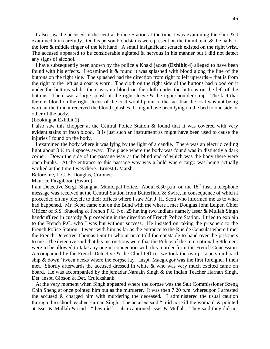I also saw the accused in the central Police Station at the time I was examining the shirt & I examined him carefully. On his person bloodstains were present on the thumb nail & the nails of the fore & middle finger of the left hand. A small insignificant scratch existed on the right wrist. The accused appeared to be considerable agitated & nervous in his manner but I did not detect any signs of alcohol.

 I have subsequently been shown by the police a Khaki jacket (**Exhibit 4**) alleged to have been found with his effects. I examined it & found it was splashed with blood along the line of the buttons on the right side. The splashed had the direction from right to left upwards – that is from the right to the left as a coat is worn. The cloth on the right side of the buttons had blood on it under the buttons whilst there was no blood on the cloth under the buttons on the left of the buttons. There was a large splash on the right sleeve  $\&$  the right shoulder strap. The fact that there is blood on the right sleeve of the coat would point to the fact that the coat was not being worn at the time it received the blood splashes. It might have been lying on the bed to one side or other of the body.

(Looking at Exhibit 1)

I also saw this chopper at the Central Police Station & found that it was covered with very evident stains of fresh blood. It is just such an instrument as might have been used to cause the injuries I found on the body.

 I examined the body where it was lying by the light of a candle. There was an electric ceiling light about 3  $\frac{1}{2}$  to 4 spaces away. The place where the body was found was in distinctly a dark corner. Down the side of the passage way at the blind end of which was the body there were open bunks. At the entrance to this passage way was a hold where cargo was being actually worked at the time I was there. Ernest L Marsh.

Before me, J. C. E. Douglas, Coroner.

Maurice Fitzgibbon (Sworn).

I am Detective Sergt, Shanghai Municipal Police. About 6.30 p.m. on the  $18<sup>th</sup>$  inst. a telephone message was received at the Central Station from Butterfield & Swire, in consequence of which I proceeded on my bicycle to their offices where I saw Mr. J. H. Scott who informed me as to what had happened. Mr. Scott came out on the Bund with me where I met Douglas John Leiper, Chief Officer of S.S. Shaosing & French P.C. No. 25 having two Indians namely Isser & Mullah Singh handcuff red in custody & proceeding in the direction of French Police Station. I tried to explain to the French P.C. who I was but without success. He insisted on taking the prisoners to the French Police Station. I went with him as far as the entrance to the Rue de Consulat where I met the French Detective Thomas Dimitri who at once told the constable to hand over the prisoners to me. The detective said that his instructions were that the Police of the International Settlement were to be allowed to take any one in connection with this murder from the French Concession. Accompanied by the French Detective & the Chief Officer we took the two prisoners on board ship & down 'tween decks where the corpse lay. Inspt. Macgregor was the first foreigner I then met. Shortly afterwards the accused dressed in white & who was very much excited came on board. He was accompanied by the jemadar Naraain Singh & the Indian Teacher Harnan Singh, Det. Inspt. Gibson & Det. Cruickshank.

 At the very moment when Singh appeared where the corpse was the Salt Commissioner Szeng Chih Sheng at once pointed him out as the murderer. It was then 7.20 p.m. whereupon I arrested the accused & charged him with murdering the deceased. I administered the usual caution through the school teacher Harnan Singh. The accused said "I did not kill the woman" & pointed at Isser & Mullah & said "they did." I also cautioned Isser & Mullah. They said they did not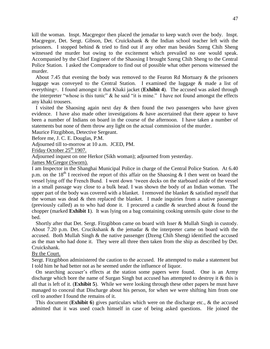kill the woman. Inspt. Macgregor then placed the jemadar to keep watch over the body. Inspt. Macgregor, Det. Sergt. Gibson, Det. Cruickshank & the Indian school teacher left with the prisoners. I stopped behind  $\&$  tried to find out if any other man besides Szeng Chih Sheng witnessed the murder but owing to the excitement which prevailed no one would speak. Accompanied by the Chief Engineer of the Shaosing I brought Szeng Chih Sheng to the Central Police Station. I asked the Compradore to find out of possible what other persons witnessed the murder.

 About 7.45 that evening the body was removed to the Fearon Rd Mortuary & the prisoners luggage was conveyed to the Central Station. I examined the luggage & made a list of everything=. I found amongst it that Khaki jacket (**Exhibit 4**). The accused was asked through the interpreter "whose is this tunic"  $\&$  he said "it is mine." I have not found amongst the effects any khaki trousers.

I visited the Shaosing again next day  $\&$  then found the two passengers who have given evidence. I have also made other investigations & have ascertained that there appear to have been a number of Indians on board in the course of the afternoon. I have taken a number of statements but none of them throw any light on the actual commission of the murder.

Maurice Fitzgibbon, Detective Sergeant.

Before me, J. C. E. Douglas, P.M.

Adjourned till to-morrow at 10 a.m. JCED, PM.

Friday October  $25<sup>th</sup> 1907$ .

Adjourned inquest on one Herkor (Sikh woman); adjourned from yesterday.

James McGregor (Sworn).

I am Inspector in the Shanghai Municipal Police in charge of the Central Police Station. At 6.40 p.m. on the  $18<sup>th</sup>$  I received the report of this affair on the Shaosing & I then went on board the vessel lying off the French Bund. I went down 'tween decks on the starboard aside of the vessel in a small passage way close to a bulk head. I was shown the body of an Indian woman. The upper part of the body was covered with a blanket. I removed the blanket  $\&$  satisfied myself that the woman was dead  $\&$  then replaced the blanket. I made inquiries from a native passenger (previously called) as to who had done it. I procured a candle & searched about & found the chopper (marked **Exhibit 1**). It was lying on a bag containing cooking utensils quite close to the bed.

 Shortly after that Det. Sergt. Fitzgibbon came on board with Isser & Mullah Singh in custody. About 7.20 p.m. Det. Crucikshank & the jemadar & the interpreter came on board with the accused. Both Mullah Singh & the native passenger (Dzeng Chih Sheng) identified the accused as the man who had done it. They were all three then taken from the ship as described by Det. Cruickshank.

## By the Court.

Sergt. Fitzgibbon administered the caution to the accused. He attempted to make a statement but I told him he had better not as he seemed under the influence of liquor.

 On searching accuser's effects at the station some papers were found. One is an Army discharge which bore the name of Surgan Singh but accused has attempted to destroy it & this is all that is left of it. (**Exhibit 5**). While we were looking through these other papers he must have managed to conceal that Discharge about his person, for when we were shifting him from one cell to another I found the remains of it.

 This document (**Exhibit 6**) gives particulars which were on the discharge etc., & the accused admitted that it was used coach himself in case of being asked questions. He joined the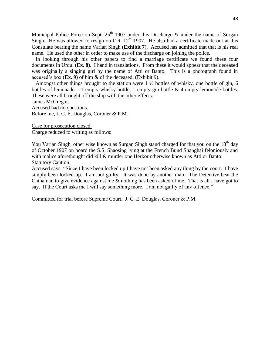Municipal Police Force on Sept.  $25<sup>th</sup> 1907$  under this Discharge & under the name of Surgan Singh. He was allowed to resign on Oct.  $12<sup>th</sup> 1907$ . He also had a certificate made out at this Consulate bearing the name Varian Singh (**Exhibit 7**). Accused has admitted that that is his real name. He used the other in order to make use of the discharge on joining the police.

 In looking through his other papers to find a marriage certificate we found these four documents in Urdu. (**Ex. 8**). I hand in translations. From these it would appear that the deceased was originally a singing girl by the name of Atti or Banto. This is a photograph found in accused's box (**Ex. 9**) of him & of the deceased. (Exhibit 9).

 Amongst other things brought to the station were 1 ½ bottles of whisky, one bottle of gin, 6 bottles of lemonade – 1 empty whisky bottle, 1 empty gin bottle  $\&$  4 empty lemonade bottles. These were all brought off the ship with the other effects.

James McGregor.

Accused had no questions.

Before me, J. C. E. Douglas, Coroner & P.M.

Case for prosecution closed. Charge reduced to writing as follows:

You Varian Singh, other wise known as Surgan Singh stand charged for that you on the 18<sup>th</sup> day of October 1907 on board the S.S. Shaosing lying at the French Bund Shanghai feloniously and with malice aforethought did kill & murder one Herkor otherwise known as Atti or Banto. Statutory Caution.

Accused says: "Since I have been locked up I have not been asked any thing by the court. I have simply been locked up. I am not guilty. It was done by another man. The Detective beat the Chinaman to give evidence against me & nothing has been asked of me. That is all I have got to say. If the Court asks me I will say something more. I am not guilty of any offence."

Committed for trial before Supreme Court. J. C. E. Douglas, Coroner & P.M.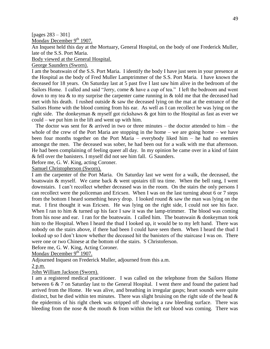# [pages 283 – 301]

Monday December 9<sup>th</sup> 1907.

An Inquest held this day at the Mortuary, General Hospital, on the body of one Frederick Muller, late of the S.S. Port Maria.

Body viewed at the General Hospital.

George Saunders (Sworn).

I am the boatswain of the S.S. Port Maria. I identify the body I have just seen in your presence at the Hospital as the body of Fred Muller Lamptrimmer of the S.S. Port Maria. I have known the deceased for 18 years. On Saturday last at 5 past five I last saw him alive in the bedroom of the Sailors Home. I called and said "Jerry, come & have a cup of tea." I left the bedroom and went down to my tea & to my surprise the carpenter came running in & told me that the deceased had met with his death. I rushed outside  $\&$  saw the deceased lying on the mat at the entrance of the Sailors Home with the blood coming from his ear. As well as I can recollect he was lying on the right side. The donkeyman & myself got rickshaws & got him to the Hospital as fast as ever we could – we put him in the lift and went up with him.

The doctor was sent for  $\&$  arrived in two or three minutes – the doctor attended to him – the whole of the crew of the Port Maria are stopping in the home  $-$  we are going home  $-$  we have been four months together on the Port Maria – everybody liked him – he had no enemies amongst the men. The deceased was sober, he had been out for a walk with me that afternoon. He had been complaining of feeling queer all day. In my opinion he came over in a kind of faint & fell over the banisters. I myself did not see him fall. G Saunders.

Before me, G. W. King, acting Coroner.

Samuel Christopherson (Sworn).

I am the carpenter of the Port Maria. On Saturday last we went for a walk, the deceased, the boatswain & myself. We came back  $\&$  went upstairs till tea time. When the bell rang, I went downstairs. I can't recollect whether deceased was in the room. On the stairs the only persons I can recollect were the policeman and Ericsen. When I was on the last turning about 6 or 7 steps from the bottom I heard something heavy drop. I looked round  $\&$  saw the man was lying on the mat. I first thought it was Ericsen. He was lying on the right side, I could not see his face. When I ran to him & turned up his face I saw it was the lamp-trimmer. The blood was coming from his nose and ear. I ran for the boatswain. I called him. The boatswain & donkeyman took him to the Hospital. When I heard the thud I looked up, it would be to my left hand. There was nobody on the stairs above, if there had been I could have seen them. When I heard the thud I looked up so I don't know whether the deceased hit the banisters of the staircase I was on. There were one or two Chinese at the bottom of the stairs. S Christoferson.

Before me, G. W. King, Acting Coroner.

Monday December  $9<sup>th</sup> 1907$ .

Adjourned Inquest on Frederick Muller, adjourned from this a.m.

2 p.m.

John William Jackson (Sworn).

I am a registered medical practitioner. I was called on the telephone from the Sailors Home between 6 & 7 on Saturday last to the General Hospital. I went there and found the patient had arrived from the Home. He was alive, and breathing in irregular gasps; heart sounds were quite distinct, but he died within ten minutes. There was slight bruising on the right side of the head  $\&$ the epidermis of his right cheek was stripped off showing a raw bleeding surface. There was bleeding from the nose  $\&$  the mouth  $\&$  from within the left ear blood was coming. There was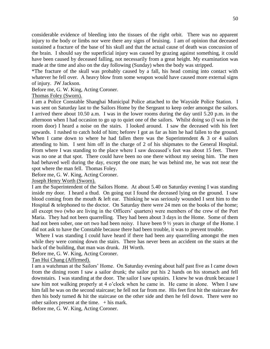considerable evidence of bleeding into the tissues of the right orbit. There was no apparent injury to the body or limbs nor were there any signs of bruising. I am of opinion that deceased sustained a fracture of the base of his skull and that the actual cause of death was concussion of the brain. I should say the superficial injury was caused by grazing against something, it could have been caused by deceased falling, not necessarily from a great height. My examination was made at the time and also on the day following (Sunday) when the body was stripped.

\*The fracture of the skull was probably caused by a fall, his head coming into contact with whatever he fell over. A heavy blow from some weapon would have caused more external signs of injury. JW Jackson.

Before me, G. W. King, Acting Coroner.

## Thomas Foley (Sworn).

I am a Police Constable Shanghai Municipal Police attached to the Wayside Police Station. I was sent on Saturday last to the Sailors Home by the Sergeant to keep order amongst the sailors. I arrived there about 10.50 a.m. I was in the lower rooms during the day until 5.20 p.m. in the afternoon when I had occasion to go up to quiet one of the sailors. Whilst doing so (I was in the room door) I heard a noise on the stairs. I looked around. I saw the deceased with his feet upwards. I rushed to catch hold of him; beforev I got as far as him he had fallen to the ground. When I came down to where he had fallen there was the Superintendent  $\&$  3 or 4 sailors attending to him. I sent him off in the charge of 2 of his shipmates to the General Hospital. From where I was standing to the place where I saw deceased's feet was about 15 feet. There was no one at that spot. There could have been no one there without my seeing him. The men had behaved well during the day, except the one man; he was behind me, he was not near the spot where the man fell. Thomas Foley.

Before me, G. W. King, Acting Coroner.

Joseph Henry Worth (Sworn).

I am the Superintendent of the Sailors Home. At about 5.40 on Saturday evening I was standing inside my door. I heard a thud. On going out I found the deceased lying on the ground. I saw blood coming from the mouth  $\&$  left ear. Thinking he was seriously wounded I sent him to the Hospital & telephoned to the doctor. On Saturday there were 24 men on the books of the home; all except two (who are living in the Officers' quarters) were members of the crew of the Port Maria. They had not been quarrelling. They had been about 3 days in the Home. Some of them had not been sober, one ort two had been noisy. I have been 9  $\frac{1}{2}$  years in charge of the Home. I did not ask to have the Constable because there had been trouble, it was to prevent trouble.

 Where I was standing I could have heard if there had been any quarrelling amongst the men while they were coming down the stairs. There has never been an accident on the stairs at the back of the building, that man was drunk. JH Worth.

Before me, G. W. King, Acting Coroner.

Tan Hui Chang (Affirmed).

I am a watchman at the Sailors' Home. On Saturday evening about half past five as I came down from the dining room I saw a sailor drunk; the sailor put his 2 hands on his stomach and fell downstairs. I was standing at the door. The sailor I saw upstairs. I knew he was drunk because I saw him not walking properly at 4 o'clock when he came in. He came in alone. When I saw him fall he was on the second staircase; he fell not far from me. His feet first hit the staircase &v then his body turned & hit the staircase on the other side and then he fell down. There were no other sailors present at the time.  $+$  his mark.

Before me, G. W. King, Acting Coroner.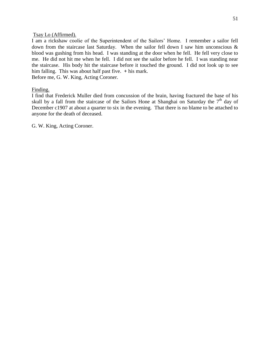#### Tsay Lo (Affirmed).

I am a rickshaw coolie of the Superintendent of the Sailors' Home. I remember a sailor fell down from the staircase last Saturday. When the sailor fell down I saw him unconscious & blood was gushing from his head. I was standing at the door when he fell. He fell very close to me. He did not hit me when he fell. I did not see the sailor before he fell. I was standing near the staircase. His body hit the staircase before it touched the ground. I did not look up to see him falling. This was about half past five. **+** his mark.

Before me, G. W. King, Acting Coroner.

#### Finding.

I find that Frederick Muller died from concussion of the brain, having fractured the base of his skull by a fall from the staircase of the Sailors Hone at Shanghai on Saturday the  $7<sup>th</sup>$  day of December c1907 at about a quarter to six in the evening. That there is no blame to be attached to anyone for the death of deceased.

G. W. King, Acting Coroner.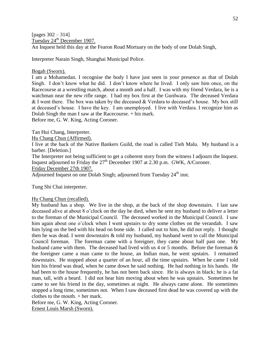[pages 302 – 314] Tuesday 24<sup>th</sup> December 1907. An Inquest held this day at the Fearon Road Mortuary on the body of one Dolah Singh,

Interpreter Narain Singh, Shanghai Municipal Police.

## Bogah (Sworn).

I am a Mohamedan. I recognise the body I have just seen in your presence as that of Dolah Singh. I don't know what he did. I don't know where he lived. I only saw him once, on the Racecourse at a wrestling match, about a month and a half. I was with my friend Verdara, he is a watchman near the new rifle range. I had my box first at the Gurdwara. The deceased Verdara  $&$  I went there. The box was taken by the deceased  $&$  Verdara to deceased's house. My box still at deceased's house. I have the key. I am unemployed. I live with Verdara. I recognize him as Dolah Singh the man I saw at the Racecourse. + his mark.

Before me, G. W. King, Acting Coroner.

Tan Hui Chang, Interpreter.

Hu Chang Chun (Affirmed).

I live at the back of the Native Bankers Guild, the road is called Tieh Malu. My husband is a barber. [Deletion.]

The Interpreter not being sufficient to get a coherent story from the witness I adjourn the Inquest. Inquest adjourned to Friday the  $27<sup>th</sup>$  December 1907 at 2.30 p.m. GWK, A/Coroner.

Friday December 27th 1907.

Adjourned Inquest on one Dolah Singh; adjourned from Tuesday 24<sup>th</sup> inst.

Tung Shi Chai interpreter.

## Hu Chang Chun (recalled).

My husband has a shop. We live in the shop, at the back of the shop downstairs. I last saw deceased alive at about 8 o'clock on the day he died, when he sent my husband to deliver a letter to the fireman of the Municipal Council. The deceased worked in the Municipal Council. I saw him again about one o'clock when I went upstairs to dry some clothes on the verandah. I saw him lying on the bed with his head on bone side. I called out to him, he did not reply. I thought then he was dead. I went downstairs & told my husband, my husband went to call the Municipal Council foreman. The foreman came with a foreigner, they came about half past one. My husband came with them. The deceased had lived with us 4 or 5 months. Before the foreman & the foreigner came a man came to the house, an Indian man, he went upstairs. I remained downstairs. He stopped about a quarter of an hour, all the time upstairs. When he came I told him his friend was dead, when he came down he said nothing. He had nothing in his hands. He had been to the house frequently, he has not been back since. He is always in black; he is a fat man, tall, with a beard. I did not hear him moving about when he was upstairs. Sometimes he came to see his friend in the day, sometimes at night. He always came alone. He sometimes stopped a long time, sometimes not. When I saw deceased first dead he was covered up with the clothes to the mouth. + her mark.

Before me, G. W. King, Acting Coroner.

Ernest Louis Marsh (Sworn).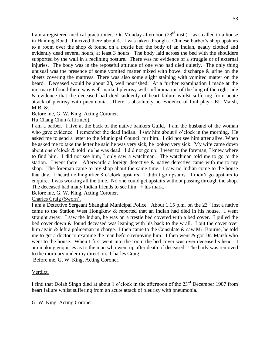I am a registered medical practitioner. On Monday afternoon  $(23<sup>rd</sup> inst.)$  I was called to a house in Haining Road. I arrived there about 4. I was taken through a Chinese barber's shop upstairs to a room over the shop & found on a trestle bed the body of an Indian, neatly clothed and evidently dead several hours, at least 3 hours. The body laid across the bed with the shoulders supported by the wall in a reclining posture. There was no evidence of a struggle or of external injuries. The body was in the reposeful attitude of one who had died quietly. The only thing unusual was the presence of some vomited matter mixed with bowel discharge & urine on the sheets covering the mattress. There was also some slight staining with vomited matter on the beard. Deceased would be about 28, well nourished. At a further examination I made at the mortuary I found there was well marked pleurisy with inflammation of the lung of the right side & evidence that the deceased had died suddenly of heart failure whilst suffering from acute attack of pleurisy with pneumonia. There is absolutely no evidence of foul play. EL Marsh, M.B. &.

# Before me, G. W. King, Acting Coroner.

## Hu Chang Chun (affirmed).

I am a barber. I live at the back of the native bankers Guild. I am the husband of the woman who gave evidence. I remember the dead Indian. I saw him about 8 o'clock in the morning. He asked me to send a letter to the Municipal Council for him. I did not see him after alive. When he asked me to take the letter he said he was very sick, he looked very sick. My wife came down about one o'clock & told me he was dead. I did not go up. I went to the foreman, I knew where to find him. I did not see him, I only saw a watchman. The watchman told me to go to the station. I went there. Afterwards a foreign detective & native detective came with me to my shop. The foreman came to my shop about the same time. I saw no Indian come to the house that day. I heard nothing after 8 o'clock upstairs. I didn't go upstairs. I didn't go upstairs to enquire. I was working all the time. No one could get upstairs without passing through the shop. The deceased had many Indian friends to see him. + his mark.

Before me, G. W. King, Acting Coroner.

# Charles Craig (Sworn).

I am a Detective Sergeant Shanghai Municipal Police. About 1.15 p.m. on the 23rd inst a native came to the Station West HongKew & reported that an Indian had died in his house. I went straight away. I saw the Indian, he was on a trestle bed covered with a bed cover. I pulled the bed cover down & found deceased was leaning with his back to the w all. I out the cover over him again & left a policeman in charge. I then came to the Consulate & saw Mr. Bourne, he told me to get a doctor to examine the man before removing him. I then went  $\&$  got Dr. Marsh who went to the house. When I first went into the room the bed cover was over deceased's head. I am making enquiries as to the man who went up after death of deceased. The body was removed to the mortuary under my direction. Charles Craig.

Before me, G. W. King, Acting Coroner.

## Verdict.

I find that Dolah Singh died at about 1 o'clock in the afternoon of the 23<sup>rd</sup> December 1907 from heart failure whilst suffering from an acute attack of pleurisy with pneumonia.

G. W. King, Acting Coroner.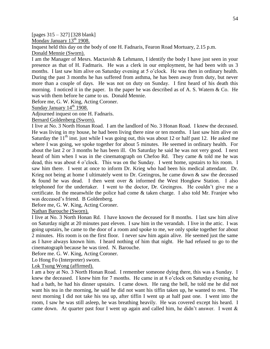[pages 315 – 327] [328 blank]

Monday January  $13<sup>th</sup> 1908$ .

Inquest held this day on the body of one H. Fadnaris, Fearon Road Mortuary, 2.15 p.m.

Donald Mennie (Sworn).

I am the Manager of Mesrs. Mactavish & Lehmann, I identify the body I have just seen in your presence as that of H. Fadmaris. He was a clerk in our employment, he had been with us 3 months. I last saw him alive on Saturday evening at 5 o'clock. He was then in ordinary health. During the past 3 months he has suffered from asthma, he has been away from duty, but never more than a couple of days. He was not on duty on Sunday. I first heard of his death this morning. I noticed it in the paper. In the paper he was described as of A. S. Watern & Co. He was with them before he came to us. Donald Mennie.

Before me, G. W. King, Acting Coroner.

Sunday January  $14<sup>th</sup> 1908$ .

Adjourned inquest on one H. Fadnaris.

Bernard Goldenberg (Sworn).

I live at No. 3 North Honan Road. I am the landlord of No. 3 Honan Road. I knew the deceased. He was living in my house, he had been living there nine or ten months. I last saw him alive on Saturday the  $11<sup>th</sup>$  inst. just while I was going out, this was about 12 or half past 12. He asked me where I was going, we spoke together for about 5 minutes. He seemed in ordinary health. For about the last 2 or 3 months he has been ill. On Saturday he said he was not very good. I next heard of him when I was in the cinematograph on Chefoo Rd. They came & told me he was dead, this was about 4 o'clock. This was on the Sunday. I went home, upstairs to his room. I saw him there. I went at once to inform Dr. Krieg who had been his medical attendant. Dr. Krieg not being at home I ultimately went to Dr. Greingros, he came down & saw the deceased & found he was dead. I then went over & informed the West Hongkew Station. I also telephoned for the undertaker. I went to the doctor, Dr. Greingros. He couldn't give me a certificate. In the meanwhile the police had come & taken charge. I also told Mr. Franjee who was deceased's friend. B Goldenberg.

Before me, G. W. King, Acting Coroner.

Nathan Barouche (Sworn).

I live at No. 3 North Honan Rd. I have known the deceased for 8 months. I last saw him alive on Saturday night at 20 minutes past eleven. I saw him in the verandah. I live in the attic. I was going upstairs, he came to the door of a room and spoke to me, we only spoke together for about 2 minutes. His room is on the first floor. I never saw him again alive. He seemed just the same as I have always known him. I heard nothing of him that night. He had refused to go to the cinematograph because he was tired. N. Barouche.

Before me. G. W. King, Acting Coroner.

Lo Hong Fo (Interpreter) sworn.

Lok Tsung Wong (affirmed).

I am a boy at No. 3 North Honan Road. I remember someone dying there, this was a Sunday. I knew the deceased. I knew him for 7 months. He came in at 8 o'clock on Saturday evening, he had a bath, he had his dinner upstairs. I came down. He rang the bell, he told me he did not want his tea in the morning, he said he did not want his tiffin taken up, he wanted to rest. The next morning I did not take his tea up, after tiffin I went up at half past one. I went into the room, I saw he was still asleep, he was breathing heavily. He was covered except his heard. I came down. At quarter past four I went up again and called him, he didn't answer. I went &